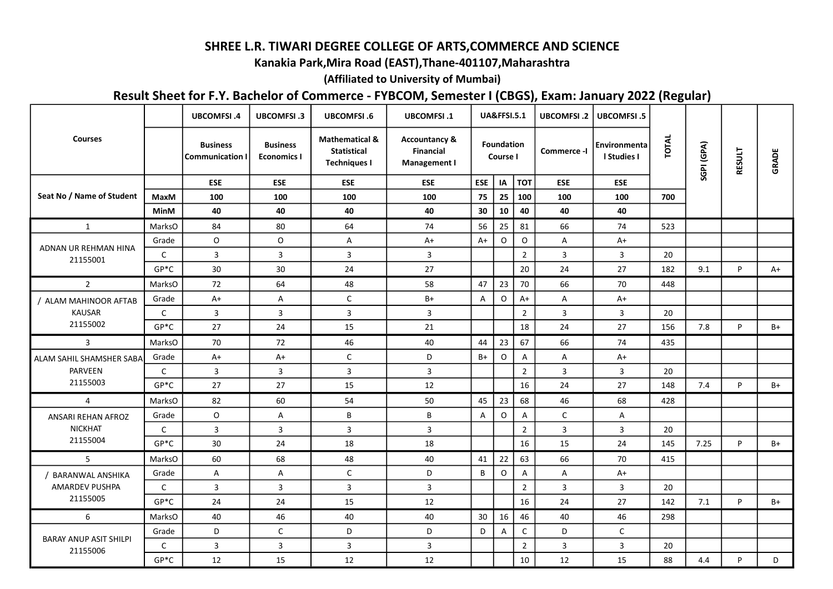## SHREE L.R. TIWARI DEGREE COLLEGE OF ARTS,COMMERCE AND SCIENCE

## Kanakia Park,Mira Road (EAST),Thane-401107,Maharashtra

## (Affiliated to University of Mumbai)

## Result Sheet for F.Y. Bachelor of Commerce - FYBCOM, Semester I (CBGS), Exam: January 2022 (Regular)

| <b>UA&amp;FFSI.5.1</b><br><b>UBCOMFSI.4</b><br><b>UBCOMFSI.3</b><br><b>UBCOMFSI.6</b><br><b>UBCOMFSI.1</b><br><b>UBCOMFSI.2</b><br><b>UBCOMFSI.5</b>                                                                                                                                                                                 |              |            |        |              |  |
|--------------------------------------------------------------------------------------------------------------------------------------------------------------------------------------------------------------------------------------------------------------------------------------------------------------------------------------|--------------|------------|--------|--------------|--|
| <b>Courses</b><br><b>Mathematical &amp;</b><br><b>Accountancy &amp;</b><br><b>Foundation</b><br><b>Business</b><br><b>Business</b><br>Environmenta<br><b>Statistical</b><br><b>Financial</b><br>Commerce -I<br>Course I<br>I Studies I<br><b>Communication I</b><br><b>Economics I</b><br><b>Techniques I</b><br><b>Management I</b> | <b>TOTAL</b> | SGPI (GPA) | RESULT | <b>GRADE</b> |  |
| <b>TOT</b><br><b>ESE</b><br>ESE<br><b>ESE</b><br><b>ESE</b><br><b>ESE</b><br>IA<br><b>ESE</b><br><b>ESE</b>                                                                                                                                                                                                                          |              |            |        |              |  |
| 75<br>Seat No / Name of Student<br>25<br>100<br>100<br>100<br>100<br>100<br>MaxM<br>100<br>100                                                                                                                                                                                                                                       | 700          |            |        |              |  |
| 30<br>40<br>40<br>40<br>40<br>40<br>10<br>40<br>40<br>MinM                                                                                                                                                                                                                                                                           |              |            |        |              |  |
| 81<br>84<br>80<br>64<br>74<br>56<br>25<br>66<br>MarksO<br>74<br>$\mathbf{1}$                                                                                                                                                                                                                                                         | 523          |            |        |              |  |
| $\mathsf O$<br>$\mathsf O$<br>$\mathsf O$<br>$A+$<br>$\mathsf O$<br>Grade<br>$\boldsymbol{\mathsf{A}}$<br>$A+$<br>A<br>$A+$<br>ADNAN UR REHMAN HINA                                                                                                                                                                                  |              |            |        |              |  |
| $\overline{2}$<br>$\mathsf{C}$<br>3<br>3<br>$\overline{3}$<br>3<br>3<br>$\mathbf{3}$<br>21155001                                                                                                                                                                                                                                     | 20           |            |        |              |  |
| 30<br>30<br>$GP*C$<br>24<br>27<br>$20\,$<br>24<br>27                                                                                                                                                                                                                                                                                 | 182          | 9.1        | P.     | $A+$         |  |
| 72<br>64<br>48<br>58<br>47<br>23<br>70<br>66<br>$\overline{2}$<br>MarksO<br>70                                                                                                                                                                                                                                                       | 448          |            |        |              |  |
| $\mathsf C$<br>$B+$<br>$A+$<br>$\mathsf{A}+$<br>$\boldsymbol{\mathsf{A}}$<br>$\mathsf O$<br>$\mathsf A$<br>$\sf A$<br>$A+$<br>Grade<br>/ ALAM MAHINOOR AFTAB                                                                                                                                                                         |              |            |        |              |  |
| KAUSAR<br>$\overline{2}$<br>$\mathsf{C}$<br>3<br>$\overline{3}$<br>3<br>3<br>$\mathbf{3}$<br>3                                                                                                                                                                                                                                       | 20           |            |        |              |  |
| 21155002<br>$GP*C$<br>24<br>27<br>15<br>21<br>$18\,$<br>24<br>27                                                                                                                                                                                                                                                                     | 156          | 7.8        | P.     | $B+$         |  |
| 67<br>70<br>72<br>46<br>44<br>23<br>66<br>MarksO<br>40<br>74<br>3                                                                                                                                                                                                                                                                    | 435          |            |        |              |  |
| $B+$<br>$\mathsf C$<br>$\mathsf D$<br>$\mathsf O$<br>$\mathsf A$<br>$A+$<br>$A+$<br>$\mathsf{A}$<br>$A+$<br>Grade<br>ALAM SAHIL SHAMSHER SABA                                                                                                                                                                                        |              |            |        |              |  |
| PARVEEN<br>$\overline{3}$<br>$\overline{2}$<br>$\mathbf{3}$<br>$\mathsf{C}$<br>$\overline{3}$<br>3<br>3<br>$\mathbf{3}$                                                                                                                                                                                                              | 20           |            |        |              |  |
| 21155003<br>27<br>$16\,$<br>$GP*C$<br>27<br>15<br>12<br>24<br>27                                                                                                                                                                                                                                                                     | 148          | 7.4        | P.     | $B+$         |  |
| 45<br>68<br>54<br>23<br>46<br>68<br>$\overline{4}$<br>MarksO<br>82<br>60<br>50                                                                                                                                                                                                                                                       | 428          |            |        |              |  |
| $\, {\bf B}$<br>$\mathsf C$<br>$\mathsf O$<br>Α<br>В<br>A<br>$\mathsf O$<br>A<br>Grade<br>Α<br>ANSARI REHAN AFROZ                                                                                                                                                                                                                    |              |            |        |              |  |
| $\mathbf{3}$<br>3<br>$\overline{3}$<br>$\mathbf{3}$<br>$\overline{2}$<br>3<br><b>NICKHAT</b><br>$\mathsf{C}$<br>$\mathbf{3}$                                                                                                                                                                                                         | 20           |            |        |              |  |
| 21155004<br>18<br>$16\,$<br>$GP*C$<br>30<br>24<br>15<br>18<br>24                                                                                                                                                                                                                                                                     | 145          | 7.25       | P.     | $B+$         |  |
| 60<br>68<br>41<br>22<br>63<br>66<br>5<br>48<br>40<br>70<br>MarksO                                                                                                                                                                                                                                                                    | 415          |            |        |              |  |
| $\mathsf C$<br>$\mathsf D$<br>B<br>$\mathsf O$<br>A<br>$A+$<br>Grade<br>$\mathsf{A}$<br>Α<br>A<br><b>BARANWAL ANSHIKA</b>                                                                                                                                                                                                            |              |            |        |              |  |
| <b>AMARDEV PUSHPA</b><br>$\overline{3}$<br>$\mathsf{C}$<br>$\overline{3}$<br>3<br>$\mathbf{3}$<br>$\overline{2}$<br>3<br>$\mathbf{3}$                                                                                                                                                                                                | 20           |            |        |              |  |
| 21155005<br>$GP*C$<br>24<br>24<br>15<br>12<br>16<br>24<br>27                                                                                                                                                                                                                                                                         | 142          | 7.1        | P      | $B+$         |  |
| 30<br>46<br>40<br>46<br>40<br>40<br>16<br>40<br>46<br>6<br>MarksO                                                                                                                                                                                                                                                                    | 298          |            |        |              |  |
| $\mathsf C$<br>D<br>D<br>$\mathsf C$<br>$\mathsf D$<br>$\mathsf D$<br>D<br>$\mathsf{C}$<br>A<br>Grade                                                                                                                                                                                                                                |              |            |        |              |  |
| <b>BARAY ANUP ASIT SHILPI</b><br>$\overline{2}$<br>$\mathbf{3}$<br>$\mathbf{3}$<br>$\mathbf{3}$<br>$\mathbf{3}$<br>3<br>$\mathbf{3}$<br>C<br>21155006                                                                                                                                                                                | 20           |            |        |              |  |
| $GP*C$<br>15<br>12<br>12<br>$10\,$<br>12<br>12<br>15                                                                                                                                                                                                                                                                                 | 88           | 4.4        | P.     | D            |  |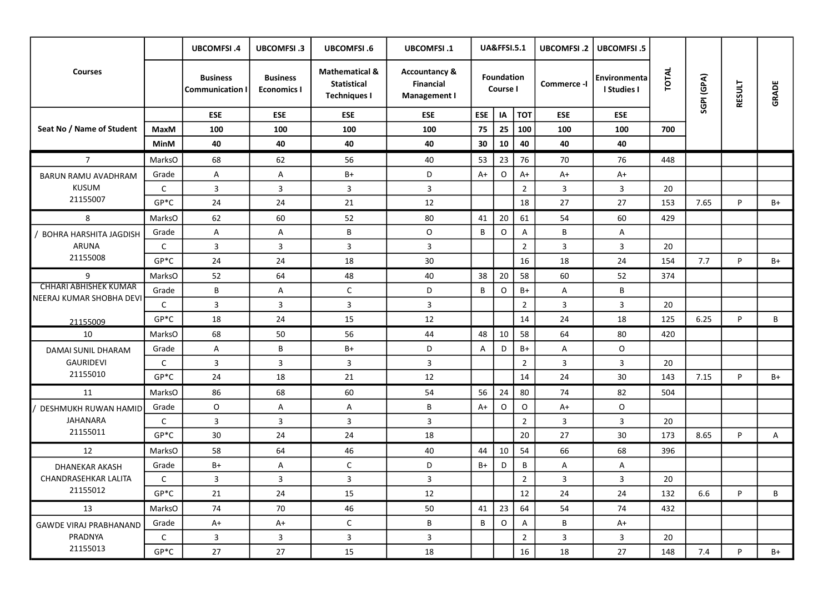|                               |              | <b>UBCOMFSI.4</b>                       | <b>UBCOMFSI.3</b>                     | <b>UBCOMFSI.6</b>                                                      | <b>UBCOMFSI.1</b>                                                   |                 | <b>UA&amp;FFSI.5.1</b>        |                           | <b>UBCOMFSI.2</b> | <b>UBCOMFSI.5</b>           |       |            |               |       |  |
|-------------------------------|--------------|-----------------------------------------|---------------------------------------|------------------------------------------------------------------------|---------------------------------------------------------------------|-----------------|-------------------------------|---------------------------|-------------------|-----------------------------|-------|------------|---------------|-------|--|
| <b>Courses</b>                |              | <b>Business</b><br><b>Communication</b> | <b>Business</b><br><b>Economics I</b> | <b>Mathematical &amp;</b><br><b>Statistical</b><br><b>Techniques I</b> | <b>Accountancy &amp;</b><br><b>Financial</b><br><b>Management I</b> |                 | <b>Foundation</b><br>Course I |                           | Commerce -I       | Environmenta<br>I Studies I | TOTAL | SGPI (GPA) | <b>RESULT</b> | GRADE |  |
|                               |              | <b>ESE</b>                              | <b>ESE</b>                            | <b>ESE</b>                                                             | <b>ESE</b>                                                          | <b>ESE</b>      | IA                            | <b>TOT</b>                | ESE               | <b>ESE</b>                  |       |            |               |       |  |
| Seat No / Name of Student     | MaxM         | 100                                     | 100                                   | 100                                                                    | 100                                                                 | 75              | 25                            | 100                       | 100               | 100                         | 700   |            |               |       |  |
|                               | <b>MinM</b>  | 40                                      | 40                                    | 40                                                                     | 40                                                                  | 30              | 10                            | 40                        | 40                | 40                          |       |            |               |       |  |
| $\overline{7}$                | MarksO       | 68                                      | 62                                    | 56                                                                     | 40                                                                  | 53              | 23                            | 76                        | 70                | 76                          | 448   |            |               |       |  |
| <b>BARUN RAMU AVADHRAM</b>    | Grade        | A                                       | A                                     | $B+$                                                                   | D                                                                   | $A+$            | O                             | $A+$                      | $A+$              | $A+$                        |       |            |               |       |  |
| <b>KUSUM</b>                  | $\mathsf{C}$ | $\mathbf{3}$                            | 3                                     | $\overline{3}$                                                         | $\mathbf{3}$                                                        |                 |                               | $\overline{2}$            | $\mathbf{3}$      | $\mathbf{3}$                | 20    |            |               |       |  |
| 21155007                      | $GP*C$       | 24                                      | 24                                    | 21                                                                     | 12                                                                  |                 |                               | 18                        | 27                | 27                          | 153   | 7.65       | P             | $B+$  |  |
| 8                             | MarksO       | 62                                      | 60                                    | 52                                                                     | 80                                                                  | 41              | 20                            | 61                        | 54                | 60                          | 429   |            |               |       |  |
| BOHRA HARSHITA JAGDISH        | Grade        | A                                       | A                                     | В                                                                      | O                                                                   | B               | $\mathsf O$                   | Α                         | B                 | A                           |       |            |               |       |  |
| <b>ARUNA</b>                  | $\mathsf{C}$ | $\overline{3}$                          | $\overline{3}$                        | $\mathbf{3}$                                                           | 3                                                                   |                 |                               | $\overline{2}$            | $\mathbf{3}$      | 3                           | 20    |            |               |       |  |
| 21155008                      | $GP*C$       | 24                                      | 24                                    | 18                                                                     | 30                                                                  |                 |                               | 16                        | 18                | 24                          | 154   | 7.7        | P             | B+    |  |
| 9                             | MarksO       | 52                                      | 64                                    | 48                                                                     | 40                                                                  | 38              | 20                            | 58                        | 60                | 52                          | 374   |            |               |       |  |
| <b>CHHARI ABHISHEK KUMAR</b>  | Grade        | B                                       | $\mathsf{A}$                          | $\mathsf{C}$                                                           | D                                                                   | B               | $\circ$                       | $B+$                      | A                 | B                           |       |            |               |       |  |
| NEERAJ KUMAR SHOBHA DEVI      | $\mathsf{C}$ | $\mathbf{3}$                            | $\overline{\mathbf{3}}$               | $\mathbf{3}$                                                           | 3                                                                   |                 |                               | $\overline{2}$            | $\mathbf{3}$      | $\overline{3}$              | 20    |            |               |       |  |
| 21155009                      | $GP*C$       | 18                                      | 24                                    | 15                                                                     | 12                                                                  |                 |                               | 14                        | 24                | 18                          | 125   | 6.25       | P             | B     |  |
| 10                            | MarksO       | 68                                      | 50                                    | 56                                                                     | 44                                                                  | 48              | 10                            | 58                        | 64                | 80                          | 420   |            |               |       |  |
| DAMAI SUNIL DHARAM            | Grade        | A                                       | B                                     | $B+$                                                                   | D                                                                   | A               | D                             | $B+$                      | A                 | $\circ$                     |       |            |               |       |  |
| GAURIDEVI                     | $\mathsf{C}$ | $\overline{3}$                          | $\overline{\mathbf{3}}$               | $\mathbf{3}$                                                           | $\mathbf{3}$                                                        |                 |                               | $\overline{2}$            | $\overline{3}$    | $\overline{3}$              | 20    |            |               |       |  |
| 21155010                      | $GP*C$       | 24                                      | 18                                    | 21                                                                     | 12                                                                  |                 |                               | 14                        | 24                | 30                          | 143   | 7.15       | P             | B+    |  |
| 11                            | MarksO       | 86                                      | 68                                    | 60                                                                     | 54                                                                  | 56              | 24                            | 80                        | 74                | 82                          | 504   |            |               |       |  |
| DESHMUKH RUWAN HAMID          | Grade        | $\circ$                                 | $\overline{A}$                        | A                                                                      | B                                                                   | $A+$            | $\mathsf{O}$                  | $\circ$                   | A+                | $\circ$                     |       |            |               |       |  |
| JAHANARA                      | $\mathsf{C}$ | $\mathbf{3}$                            | $\overline{3}$                        | 3                                                                      | 3                                                                   |                 |                               | $\overline{2}$            | $\mathbf{3}$      | $\overline{3}$              | 20    |            |               |       |  |
| 21155011                      | $GP*C$       | 30                                      | 24                                    | 24                                                                     | 18                                                                  |                 |                               | 20                        | 27                | 30                          | 173   | 8.65       | P             | A     |  |
| 12                            | MarksO       | 58                                      | 64                                    | 46                                                                     | 40                                                                  | 44              | 10                            | 54                        | 66                | 68                          | 396   |            |               |       |  |
| DHANEKAR AKASH                | Grade        | B+                                      | $\mathsf{A}$                          | $\mathsf C$                                                            | D                                                                   | B+              | D                             | В                         | A                 | A                           |       |            |               |       |  |
| CHANDRASEHKAR LALITA          | $\mathsf{C}$ | $\overline{3}$                          | 3                                     | 3                                                                      | $\mathbf{3}$                                                        |                 |                               | $\overline{2}$            | $\overline{3}$    | $\mathbf{3}$                | 20    |            |               |       |  |
| 21155012                      | $GP*C$       | 21                                      | 24                                    | 15                                                                     | 12                                                                  |                 |                               | 12                        | 24                | 24                          | 132   | 6.6        | P             | B     |  |
| 13                            | MarksO       | 74                                      | 70                                    | 46                                                                     | 50                                                                  | 41              | 23                            | 64                        | 54                | 74                          | 432   |            |               |       |  |
| <b>GAWDE VIRAJ PRABHANAND</b> | Grade        | $A+$                                    | $A+$                                  | $\mathsf{C}$                                                           | B                                                                   | $\, {\bf B} \,$ | $\circ$                       | $\boldsymbol{\mathsf{A}}$ | B                 | $A+$                        |       |            |               |       |  |
| PRADNYA                       | $\mathsf{C}$ | $\overline{3}$                          | $\overline{3}$                        | $\mathbf{3}$                                                           | 3                                                                   |                 |                               | $\overline{2}$            | $\mathbf{3}$      | $\overline{3}$              | 20    |            |               |       |  |
| 21155013                      | $GP*C$       | 27                                      | 27                                    | 15                                                                     | 18                                                                  |                 |                               | 16                        | 18                | 27                          | 148   | 7.4        | P             | $B+$  |  |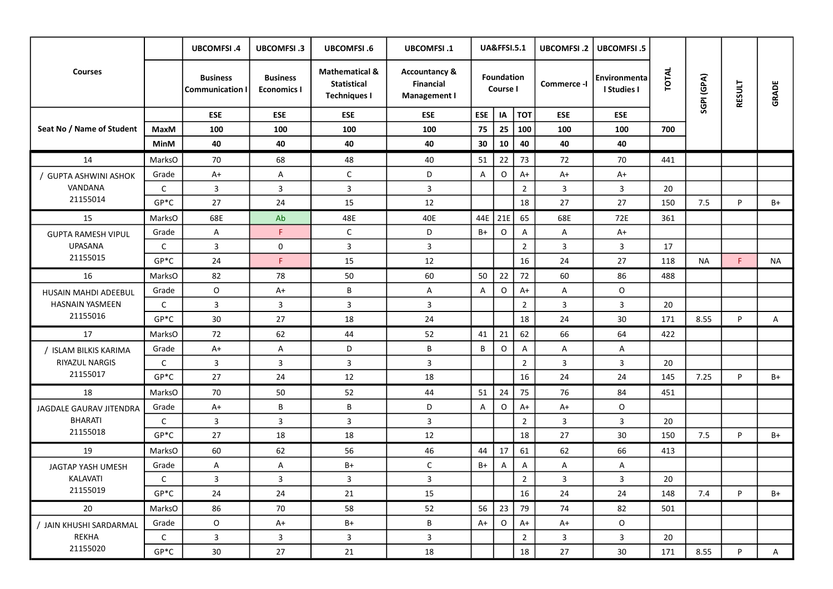|                            |              | <b>UBCOMFSI.4</b>                         | <b>UBCOMFSI.3</b>                     | <b>UBCOMFSI.6</b>                                                      | <b>UBCOMFSI.1</b>                                                   |              | <b>UA&amp;FFSI.5.1</b>        |                | <b>UBCOMFSI.2</b> | <b>UBCOMFSI.5</b>           |              |            |               |              |  |
|----------------------------|--------------|-------------------------------------------|---------------------------------------|------------------------------------------------------------------------|---------------------------------------------------------------------|--------------|-------------------------------|----------------|-------------------|-----------------------------|--------------|------------|---------------|--------------|--|
| <b>Courses</b>             |              | <b>Business</b><br><b>Communication I</b> | <b>Business</b><br><b>Economics I</b> | <b>Mathematical &amp;</b><br><b>Statistical</b><br><b>Techniques I</b> | <b>Accountancy &amp;</b><br><b>Financial</b><br><b>Management I</b> |              | <b>Foundation</b><br>Course I |                | Commerce -I       | Environmenta<br>I Studies I | <b>TOTAL</b> | SGPI (GPA) | <b>RESULT</b> | <b>GRADE</b> |  |
|                            |              | <b>ESE</b>                                | <b>ESE</b>                            | <b>ESE</b>                                                             | <b>ESE</b>                                                          | <b>ESE</b>   | IA                            | <b>TOT</b>     | <b>ESE</b>        | <b>ESE</b>                  |              |            |               |              |  |
| Seat No / Name of Student  | <b>MaxM</b>  | 100                                       | 100                                   | 100                                                                    | 100                                                                 | 75           | 25                            | 100            | 100               | 100                         | 700          |            |               |              |  |
|                            | MinM         | 40                                        | 40                                    | 40                                                                     | 40                                                                  | 30           | 10                            | 40             | 40                | 40                          |              |            |               |              |  |
| 14                         | MarksO       | 70                                        | 68                                    | 48                                                                     | 40                                                                  | 51           | 22                            | 73             | 72                | 70                          | 441          |            |               |              |  |
| <b>GUPTA ASHWINI ASHOK</b> | Grade        | $A+$                                      | $\mathsf{A}$                          | $\mathsf C$                                                            | D                                                                   | A            | O                             | A+             | $A+$              | $A+$                        |              |            |               |              |  |
| VANDANA                    | $\mathsf{C}$ | $\overline{3}$                            | 3                                     | 3                                                                      | $\mathbf{3}$                                                        |              |                               | $\overline{2}$ | $\overline{3}$    | $\mathbf{3}$                | 20           |            |               |              |  |
| 21155014                   | $GP*C$       | 27                                        | 24                                    | 15                                                                     | 12                                                                  |              |                               | 18             | 27                | 27                          | 150          | 7.5        | D             | $B+$         |  |
| 15                         | MarksO       | 68E                                       | Ab                                    | 48E                                                                    | 40E                                                                 | 44E          | 21E                           | 65             | 68E               | 72E                         | 361          |            |               |              |  |
| <b>GUPTA RAMESH VIPUL</b>  | Grade        | A                                         | F.                                    | $\mathsf C$                                                            | D                                                                   | $B+$         | 0                             | A              | A                 | $A+$                        |              |            |               |              |  |
| <b>UPASANA</b>             | $\mathsf{C}$ | $\overline{3}$                            | $\mathbf 0$                           | 3                                                                      | $\mathbf{3}$                                                        |              |                               | $\overline{2}$ | $\mathbf{3}$      | 3                           | 17           |            |               |              |  |
| 21155015                   | $GP*C$       | 24                                        | F                                     | 15                                                                     | 12                                                                  |              |                               | 16             | 24                | 27                          | 118          | <b>NA</b>  | F             | <b>NA</b>    |  |
| 16                         | MarksO       | 82                                        | 78                                    | 50                                                                     | 60                                                                  | 50           | 22                            | 72             | 60                | 86                          | 488          |            |               |              |  |
| HUSAIN MAHDI ADEEBUL       | Grade        | O                                         | A+                                    | B                                                                      | A                                                                   | $\mathsf{A}$ | $\circ$                       | $A+$           | A                 | $\circ$                     |              |            |               |              |  |
| HASNAIN YASMEEN            | $\mathsf{C}$ | $\overline{3}$                            | $\overline{3}$                        | $\mathbf{3}$                                                           | 3                                                                   |              |                               | $\overline{2}$ | $\mathbf{3}$      | 3                           | 20           |            |               |              |  |
| 21155016                   | $GP*C$       | 30                                        | 27                                    | 18                                                                     | 24                                                                  |              |                               | 18             | 24                | 30                          | 171          | 8.55       | P             | A            |  |
| 17                         | MarksO       | 72                                        | 62                                    | 44                                                                     | 52                                                                  | 41           | 21                            | 62             | 66                | 64                          | 422          |            |               |              |  |
| / ISLAM BILKIS KARIMA      | Grade        | A+                                        | A                                     | D                                                                      | B                                                                   | B            | O                             | A              | A                 | $\mathsf{A}$                |              |            |               |              |  |
| RIYAZUL NARGIS             | $\mathsf{C}$ | $\overline{3}$                            | 3                                     | $\mathbf{3}$                                                           | 3                                                                   |              |                               | $\overline{2}$ | $\mathbf{3}$      | 3                           | 20           |            |               |              |  |
| 21155017                   | $GP*C$       | 27                                        | 24                                    | 12                                                                     | 18                                                                  |              |                               | 16             | 24                | 24                          | 145          | 7.25       | P             | $B+$         |  |
| 18                         | MarksO       | 70                                        | 50                                    | 52                                                                     | 44                                                                  | 51           | 24                            | 75             | 76                | 84                          | 451          |            |               |              |  |
| JAGDALE GAURAV JITENDRA    | Grade        | $A+$                                      | B                                     | B                                                                      | D                                                                   | A            | $\circ$                       | A+             | $A+$              | $\circ$                     |              |            |               |              |  |
| <b>BHARATI</b>             | $\mathsf{C}$ | $\overline{3}$                            | $\overline{3}$                        | 3                                                                      | $\mathbf{3}$                                                        |              |                               | $\overline{2}$ | $\overline{3}$    | 3                           | 20           |            |               |              |  |
| 21155018                   | $GP*C$       | 27                                        | 18                                    | 18                                                                     | 12                                                                  |              |                               | 18             | 27                | 30                          | 150          | 7.5        | P             | $B+$         |  |
| 19                         | MarksO       | 60                                        | 62                                    | 56                                                                     | 46                                                                  | 44           | 17                            | 61             | 62                | 66                          | 413          |            |               |              |  |
| JAGTAP YASH UMESH          | Grade        | A                                         | A                                     | B+                                                                     | C                                                                   | B+           | A                             | Α              | A                 | A                           |              |            |               |              |  |
| KALAVATI                   | $\mathsf{C}$ | $\overline{\mathbf{3}}$                   | $\mathbf{3}$                          | $\mathbf{3}$                                                           | $\mathbf{3}$                                                        |              |                               | $\mathbf 2$    | $\mathbf{3}$      | $\mathbf{3}$                | 20           |            |               |              |  |
| 21155019                   | $GP*C$       | 24                                        | 24                                    | 21                                                                     | 15                                                                  |              |                               | 16             | 24                | 24                          | 148          | 7.4        | P             | $B+$         |  |
| 20                         | MarksO       | 86                                        | 70                                    | 58                                                                     | 52                                                                  | 56           | 23                            | 79             | 74                | 82                          | 501          |            |               |              |  |
| JAIN KHUSHI SARDARMAL      | Grade        | $\mathsf O$                               | $A+$                                  | $B+$                                                                   | B                                                                   | $A+$         | $\circ$                       | $A+$           | $A+$              | $\circ$                     |              |            |               |              |  |
| REKHA                      | $\mathsf{C}$ | $\overline{\mathbf{3}}$                   | $\mathbf{3}$                          | $\mathbf{3}$                                                           | $\mathbf{3}$                                                        |              |                               | $2^{\circ}$    | $\mathbf{3}$      | $\mathbf{3}$                | 20           |            |               |              |  |
| 21155020                   | $GP*C$       | 30                                        | 27                                    | 21                                                                     | 18                                                                  |              |                               | 18             | 27                | 30 <sup>°</sup>             | 171          | 8.55       | P             | $\mathsf{A}$ |  |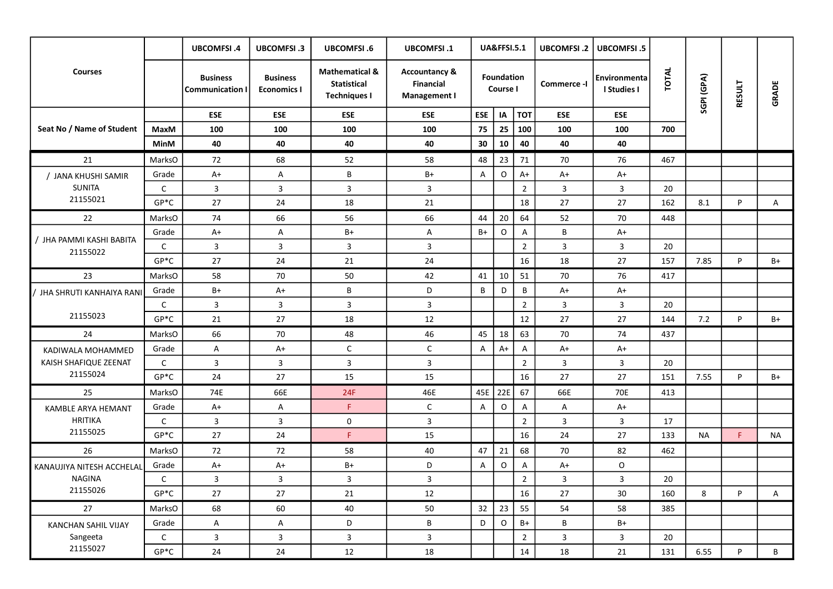|                                      |              | <b>UBCOMFSI.4</b>                       | <b>UBCOMFSI.3</b>                     | <b>UBCOMFSI.6</b>                                                      | <b>UBCOMFSI.1</b>                                                   |            | <b>UA&amp;FFSI.5.1</b> |                | <b>UBCOMFSI.2</b> | <b>UBCOMFSI.5</b>           |       |            |               |           |  |
|--------------------------------------|--------------|-----------------------------------------|---------------------------------------|------------------------------------------------------------------------|---------------------------------------------------------------------|------------|------------------------|----------------|-------------------|-----------------------------|-------|------------|---------------|-----------|--|
| <b>Courses</b>                       |              | <b>Business</b><br><b>Communication</b> | <b>Business</b><br><b>Economics I</b> | <b>Mathematical &amp;</b><br><b>Statistical</b><br><b>Techniques I</b> | <b>Accountancy &amp;</b><br><b>Financial</b><br><b>Management I</b> |            | Foundation<br>Course I |                | Commerce -I       | Environmenta<br>I Studies I | TOTAL | SGPI (GPA) | <b>RESULT</b> | GRADE     |  |
|                                      |              | <b>ESE</b>                              | <b>ESE</b>                            | <b>ESE</b>                                                             | <b>ESE</b>                                                          | <b>ESE</b> | IA                     | <b>TOT</b>     | ESE               | ESE                         |       |            |               |           |  |
| Seat No / Name of Student            | MaxM         | 100                                     | 100                                   | 100                                                                    | 100                                                                 | 75         | 25                     | 100            | 100               | 100                         | 700   |            |               |           |  |
|                                      | <b>MinM</b>  | 40                                      | 40                                    | 40                                                                     | 40                                                                  | 30         | 10                     | 40             | 40                | 40                          |       |            |               |           |  |
| 21                                   | MarksO       | 72                                      | 68                                    | 52                                                                     | 58                                                                  | 48         | 23                     | 71             | 70                | 76                          | 467   |            |               |           |  |
| / JANA KHUSHI SAMIR                  | Grade        | $A+$                                    | A                                     | В                                                                      | B+                                                                  | A          | O                      | $A+$           | $A+$              | $A+$                        |       |            |               |           |  |
| <b>SUNITA</b>                        | $\mathsf{C}$ | $\overline{3}$                          | 3                                     | 3                                                                      | $\mathbf{3}$                                                        |            |                        | $\overline{2}$ | $\mathbf{3}$      | $\mathbf{3}$                | 20    |            |               |           |  |
| 21155021                             | $GP*C$       | 27                                      | 24                                    | 18                                                                     | 21                                                                  |            |                        | 18             | 27                | 27                          | 162   | 8.1        | P             | Α         |  |
| 22                                   | MarksO       | 74                                      | 66                                    | 56                                                                     | 66                                                                  | 44         | 20                     | 64             | 52                | 70                          | 448   |            |               |           |  |
|                                      | Grade        | $A+$                                    | A                                     | $B+$                                                                   | A                                                                   | $B+$       | 0                      | Α              | B                 | $A+$                        |       |            |               |           |  |
| / JHA PAMMI KASHI BABITA<br>21155022 | $\mathsf{C}$ | $\overline{3}$                          | $\overline{3}$                        | $\overline{3}$                                                         | 3                                                                   |            |                        | $\overline{2}$ | $\mathbf{3}$      | 3                           | 20    |            |               |           |  |
|                                      | $GP*C$       | 27                                      | 24                                    | 21                                                                     | 24                                                                  |            |                        | 16             | 18                | 27                          | 157   | 7.85       | P             | $B+$      |  |
| 23                                   | MarksO       | 58                                      | 70                                    | 50                                                                     | 42                                                                  | 41         | 10                     | 51             | 70                | 76                          | 417   |            |               |           |  |
| / JHA SHRUTI KANHAIYA RANI           | Grade        | B+                                      | A+                                    | B                                                                      | D                                                                   | B          | D                      | B              | $A+$              | $A+$                        |       |            |               |           |  |
|                                      | $\mathsf{C}$ | $\mathbf{3}$                            | $\overline{\mathbf{3}}$               | $\overline{\mathbf{3}}$                                                | 3                                                                   |            |                        | $\overline{2}$ | $\mathbf{3}$      | $\overline{3}$              | 20    |            |               |           |  |
| 21155023                             | $GP*C$       | 21                                      | 27                                    | 18                                                                     | 12                                                                  |            |                        | 12             | 27                | 27                          | 144   | 7.2        | P             | $B+$      |  |
| 24                                   | MarksO       | 66                                      | 70                                    | 48                                                                     | 46                                                                  | 45         | 18                     | 63             | 70                | 74                          | 437   |            |               |           |  |
| KADIWALA MOHAMMED                    | Grade        | A                                       | $A+$                                  | $\mathsf C$                                                            | $\mathsf{C}$                                                        | A          | $A+$                   | A              | $A+$              | $A+$                        |       |            |               |           |  |
| KAISH SHAFIQUE ZEENAT                | $\mathsf{C}$ | $\overline{3}$                          | $\overline{\mathbf{3}}$               | 3                                                                      | 3                                                                   |            |                        | $\overline{2}$ | $\overline{3}$    | $\overline{3}$              | 20    |            |               |           |  |
| 21155024                             | $GP*C$       | 24                                      | 27                                    | 15                                                                     | 15                                                                  |            |                        | 16             | 27                | 27                          | 151   | 7.55       | P             | B+        |  |
| 25                                   | MarksO       | 74E                                     | 66E                                   | 24F                                                                    | 46E                                                                 | 45E        | 22E                    | 67             | 66E               | 70E                         | 413   |            |               |           |  |
| KAMBLE ARYA HEMANT                   | Grade        | $A+$                                    | $\overline{A}$                        | F.                                                                     | $\mathsf{C}$                                                        | A          | 0                      | A              | A                 | $A+$                        |       |            |               |           |  |
| <b>HRITIKA</b>                       | $\mathsf{C}$ | $\mathsf{3}$                            | $\overline{3}$                        | $\mathbf 0$                                                            | 3                                                                   |            |                        | $\overline{2}$ | $\mathbf{3}$      | $\overline{3}$              | 17    |            |               |           |  |
| 21155025                             | $GP*C$       | 27                                      | 24                                    | F.                                                                     | 15                                                                  |            |                        | 16             | 24                | 27                          | 133   | NА         | F             | <b>NA</b> |  |
| 26                                   | MarksO       | 72                                      | 72                                    | 58                                                                     | 40                                                                  | 47         | 21                     | 68             | 70                | 82                          | 462   |            |               |           |  |
| KANAUJIYA NITESH ACCHELAL            | Grade        | $A+$                                    | A+                                    | $B+$                                                                   | D                                                                   | A          | O                      | A              | A+                | $\mathsf{O}$                |       |            |               |           |  |
| NAGINA                               | $\mathsf{C}$ | $\overline{3}$                          | 3                                     | 3                                                                      | 3                                                                   |            |                        | $\overline{2}$ | $\mathbf{3}$      | $\mathbf{3}$                | 20    |            |               |           |  |
| 21155026                             | $GP*C$       | 27                                      | 27                                    | 21                                                                     | 12                                                                  |            |                        | 16             | 27                | 30 <sup>°</sup>             | 160   | 8          | P             | A         |  |
| 27                                   | MarksO       | 68                                      | 60                                    | 40                                                                     | 50                                                                  | 32         | 23                     | 55             | 54                | 58                          | 385   |            |               |           |  |
| KANCHAN SAHIL VIJAY                  | Grade        | $\mathsf A$                             | $\mathsf{A}$                          | D                                                                      | B                                                                   | D          | $\circ$                | $B+$           | $\, {\bf B} \,$   | $B+$                        |       |            |               |           |  |
| Sangeeta                             | $\mathsf{C}$ | $\overline{3}$                          | $\overline{3}$                        | $\mathbf{3}$                                                           | 3                                                                   |            |                        | $\overline{2}$ | $\mathbf{3}$      | $\mathbf{3}$                | 20    |            |               |           |  |
| 21155027                             | $GP*C$       | 24                                      | 24                                    | 12                                                                     | 18                                                                  |            |                        | 14             | 18                | 21                          | 131   | 6.55       | P             | B         |  |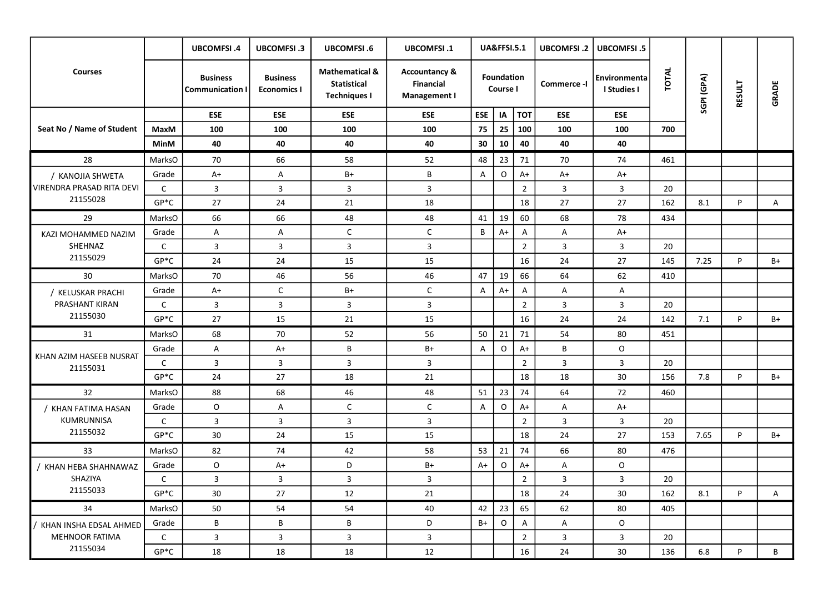|                           |              | <b>UBCOMFSI.4</b>                       | <b>UBCOMFSI.3</b>                     | <b>UBCOMFSI.6</b>                                                      | <b>UBCOMFSI.1</b>                                                   |            | <b>UA&amp;FFSI.5.1</b> |                           | <b>UBCOMFSI.2</b> | <b>UBCOMFSI.5</b>           |       |            |               |       |  |
|---------------------------|--------------|-----------------------------------------|---------------------------------------|------------------------------------------------------------------------|---------------------------------------------------------------------|------------|------------------------|---------------------------|-------------------|-----------------------------|-------|------------|---------------|-------|--|
| <b>Courses</b>            |              | <b>Business</b><br><b>Communication</b> | <b>Business</b><br><b>Economics I</b> | <b>Mathematical &amp;</b><br><b>Statistical</b><br><b>Techniques I</b> | <b>Accountancy &amp;</b><br><b>Financial</b><br><b>Management I</b> |            | Foundation<br>Course I |                           | Commerce -I       | Environmenta<br>I Studies I | TOTAL | SGPI (GPA) | <b>RESULT</b> | GRADE |  |
|                           |              | <b>ESE</b>                              | <b>ESE</b>                            | <b>ESE</b>                                                             | <b>ESE</b>                                                          | <b>ESE</b> | IA                     | <b>TOT</b>                | ESE               | ESE                         |       |            |               |       |  |
| Seat No / Name of Student | MaxM         | 100                                     | 100                                   | 100                                                                    | 100                                                                 | 75         | 25                     | 100                       | 100               | 100                         | 700   |            |               |       |  |
|                           | <b>MinM</b>  | 40                                      | 40                                    | 40                                                                     | 40                                                                  | 30         | 10                     | 40                        | 40                | 40                          |       |            |               |       |  |
| 28                        | MarksO       | 70                                      | 66                                    | 58                                                                     | 52                                                                  | 48         | 23                     | 71                        | 70                | 74                          | 461   |            |               |       |  |
| / KANOJIA SHWETA          | Grade        | $A+$                                    | A                                     | $B+$                                                                   | В                                                                   | A          | 0                      | $A+$                      | A+                | $A+$                        |       |            |               |       |  |
| VIRENDRA PRASAD RITA DEVI | $\mathsf{C}$ | $\overline{3}$                          | 3                                     | $\overline{3}$                                                         | $\mathbf{3}$                                                        |            |                        | $\overline{2}$            | $\mathbf{3}$      | $\mathbf{3}$                | 20    |            |               |       |  |
| 21155028                  | $GP*C$       | 27                                      | 24                                    | 21                                                                     | 18                                                                  |            |                        | 18                        | 27                | 27                          | 162   | 8.1        | P             | Α     |  |
| 29                        | MarksO       | 66                                      | 66                                    | 48                                                                     | 48                                                                  | 41         | 19                     | 60                        | 68                | 78                          | 434   |            |               |       |  |
| KAZI MOHAMMED NAZIM       | Grade        | A                                       | A                                     | $\mathsf{C}$                                                           | $\mathsf{C}$                                                        | B          | $A+$                   | Α                         | A                 | $A+$                        |       |            |               |       |  |
| SHEHNAZ                   | $\mathsf{C}$ | $\mathbf{3}$                            | $\overline{3}$                        | $\overline{3}$                                                         | 3                                                                   |            |                        | $\overline{2}$            | $\mathbf{3}$      | 3                           | 20    |            |               |       |  |
| 21155029                  | $GP*C$       | 24                                      | 24                                    | 15                                                                     | 15                                                                  |            |                        | 16                        | 24                | 27                          | 145   | 7.25       | P             | $B+$  |  |
| 30                        | MarksO       | 70                                      | 46                                    | 56                                                                     | 46                                                                  | 47         | 19                     | 66                        | 64                | 62                          | 410   |            |               |       |  |
| / KELUSKAR PRACHI         | Grade        | $A+$                                    | C                                     | $B+$                                                                   | $\mathsf{C}$                                                        | A          | $A+$                   | A                         | A                 | A                           |       |            |               |       |  |
| PRASHANT KIRAN            | $\mathsf{C}$ | $\mathbf{3}$                            | $\overline{\mathbf{3}}$               | $\overline{3}$                                                         | $\mathbf{3}$                                                        |            |                        | $\overline{2}$            | $\mathbf{3}$      | 3                           | 20    |            |               |       |  |
| 21155030                  | $GP*C$       | 27                                      | 15                                    | 21                                                                     | 15                                                                  |            |                        | 16                        | 24                | 24                          | 142   | 7.1        | P             | $B+$  |  |
| 31                        | MarksO       | 68                                      | 70                                    | 52                                                                     | 56                                                                  | 50         | 21                     | 71                        | 54                | 80                          | 451   |            |               |       |  |
| KHAN AZIM HASEEB NUSRAT   | Grade        | A                                       | $A+$                                  | В                                                                      | $B+$                                                                | A          | $\circ$                | $A+$                      | B                 | $\circ$                     |       |            |               |       |  |
| 21155031                  | $\mathsf{C}$ | $\mathbf{3}$                            | $\overline{\mathbf{3}}$               | 3                                                                      | $\mathbf{3}$                                                        |            |                        | $\overline{2}$            | $\overline{3}$    | $\overline{3}$              | 20    |            |               |       |  |
|                           | $GP*C$       | 24                                      | 27                                    | 18                                                                     | 21                                                                  |            |                        | 18                        | 18                | 30                          | 156   | 7.8        | P             | B+    |  |
| 32                        | MarksO       | 88                                      | 68                                    | 46                                                                     | 48                                                                  | 51         | 23                     | 74                        | 64                | 72                          | 460   |            |               |       |  |
| KHAN FATIMA HASAN         | Grade        | $\circ$                                 | $\overline{A}$                        | $\mathsf{C}$                                                           | $\mathsf{C}$                                                        | A          | $\mathsf{O}$           | $A+$                      | A                 | $A+$                        |       |            |               |       |  |
| KUMRUNNISA                | $\mathsf{C}$ | $\mathsf{3}$                            | $\overline{3}$                        | 3                                                                      | 3                                                                   |            |                        | $\overline{2}$            | $\mathbf{3}$      | $\overline{3}$              | 20    |            |               |       |  |
| 21155032                  | $GP*C$       | 30                                      | 24                                    | 15                                                                     | 15                                                                  |            |                        | 18                        | 24                | 27                          | 153   | 7.65       | P             | B+    |  |
| 33                        | MarksO       | 82                                      | 74                                    | 42                                                                     | 58                                                                  | 53         | 21                     | 74                        | 66                | 80                          | 476   |            |               |       |  |
| / KHAN HEBA SHAHNAWAZ     | Grade        | O                                       | A+                                    | D                                                                      | B+                                                                  | $A+$       | O                      | $A+$                      | A                 | $\mathsf{O}$                |       |            |               |       |  |
| SHAZIYA                   | $\mathsf{C}$ | $\overline{3}$                          | 3                                     | 3                                                                      | $\mathbf{3}$                                                        |            |                        | $\overline{2}$            | $\mathbf{3}$      | $\mathbf{3}$                | 20    |            |               |       |  |
| 21155033                  | $GP*C$       | 30                                      | 27                                    | 12                                                                     | 21                                                                  |            |                        | 18                        | 24                | 30                          | 162   | 8.1        | P             | A     |  |
| 34                        | MarksO       | 50                                      | 54                                    | 54                                                                     | 40                                                                  | 42         | 23                     | 65                        | 62                | 80                          | 405   |            |               |       |  |
| KHAN INSHA EDSAL AHMED    | Grade        | B                                       | B                                     | $\sf{B}$                                                               | D                                                                   | $B+$       | $\circ$                | $\boldsymbol{\mathsf{A}}$ | A                 | $\circ$                     |       |            |               |       |  |
| MEHNOOR FATIMA            | $\mathsf{C}$ | $\overline{3}$                          | $\overline{\mathbf{3}}$               | $\overline{3}$                                                         | 3                                                                   |            |                        | $\overline{2}$            | $\mathbf{3}$      | $\mathbf{3}$                | 20    |            |               |       |  |
| 21155034                  | $GP*C$       | 18                                      | 18                                    | 18                                                                     | 12                                                                  |            |                        | 16                        | 24                | 30 <sup>°</sup>             | 136   | 6.8        | P             | В     |  |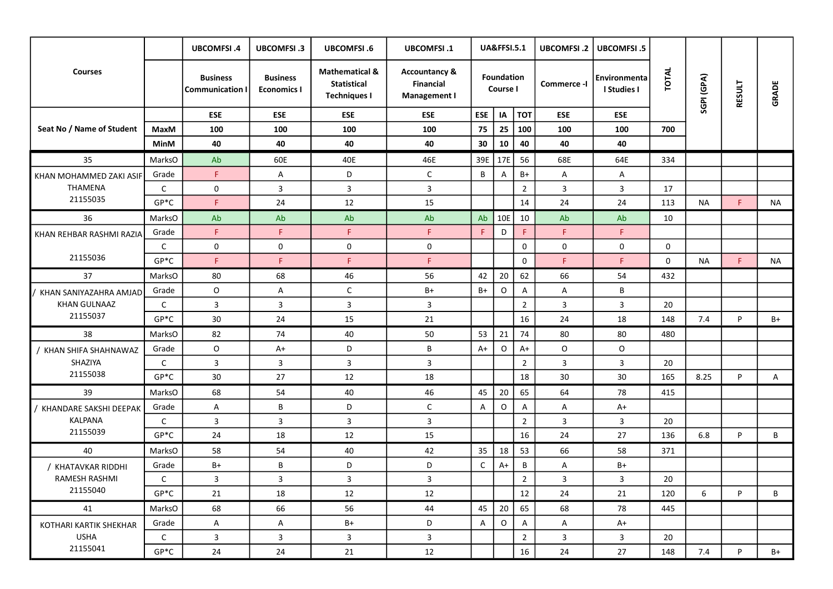|                           |              | <b>UBCOMFSI.4</b>                       | <b>UBCOMFSI.3</b>                     | <b>UBCOMFSI.6</b>                                                      | <b>UBCOMFSI.1</b>                                                   |                           | <b>UA&amp;FFSI.5.1</b> |                           | <b>UBCOMFSI.2</b> | <b>UBCOMFSI.5</b>           |             |            |               |       |  |
|---------------------------|--------------|-----------------------------------------|---------------------------------------|------------------------------------------------------------------------|---------------------------------------------------------------------|---------------------------|------------------------|---------------------------|-------------------|-----------------------------|-------------|------------|---------------|-------|--|
| <b>Courses</b>            |              | <b>Business</b><br><b>Communication</b> | <b>Business</b><br><b>Economics I</b> | <b>Mathematical &amp;</b><br><b>Statistical</b><br><b>Techniques I</b> | <b>Accountancy &amp;</b><br><b>Financial</b><br><b>Management I</b> |                           | Foundation<br>Course I |                           | Commerce -I       | Environmenta<br>I Studies I | TOTAL       | SGPI (GPA) | <b>RESULT</b> | GRADE |  |
|                           |              | <b>ESE</b>                              | <b>ESE</b>                            | <b>ESE</b>                                                             | <b>ESE</b>                                                          | <b>ESE</b>                | IA                     | <b>TOT</b>                | ESE               | <b>ESE</b>                  |             |            |               |       |  |
| Seat No / Name of Student | MaxM         | 100                                     | 100                                   | 100                                                                    | 100                                                                 | 75                        | 25                     | 100                       | 100               | 100                         | 700         |            |               |       |  |
|                           | <b>MinM</b>  | 40                                      | 40                                    | 40                                                                     | 40                                                                  | 30                        | 10                     | 40                        | 40                | 40                          |             |            |               |       |  |
| 35                        | MarksO       | Ab                                      | 60E                                   | 40E                                                                    | 46E                                                                 | 39E                       | 17E                    | 56                        | 68E               | 64E                         | 334         |            |               |       |  |
| KHAN MOHAMMED ZAKI ASIF   | Grade        | F.                                      | A                                     | D                                                                      | $\mathsf{C}$                                                        | B                         | A                      | $B+$                      | A                 | A                           |             |            |               |       |  |
| THAMENA                   | $\mathsf{C}$ | $\mathbf 0$                             | 3                                     | 3                                                                      | $\mathbf{3}$                                                        |                           |                        | $\overline{2}$            | $\mathbf{3}$      | $\mathbf{3}$                | 17          |            |               |       |  |
| 21155035                  | $GP*C$       | F.                                      | 24                                    | 12                                                                     | 15                                                                  |                           |                        | 14                        | 24                | 24                          | 113         | <b>NA</b>  | F             | NA    |  |
| 36                        | MarksO       | Ab                                      | Ab                                    | Ab                                                                     | Ab                                                                  | Ab                        | 10E                    | 10                        | Ab                | Ab                          | 10          |            |               |       |  |
| KHAN REHBAR RASHMI RAZIA  | Grade        | F.                                      | F.                                    | F.                                                                     | F.                                                                  | F.                        | D                      | F.                        | F.                | F.                          |             |            |               |       |  |
|                           | $\mathsf{C}$ | $\mathbf 0$                             | $\mathbf 0$                           | 0                                                                      | 0                                                                   |                           |                        | 0                         | $\mathsf 0$       | $\mathbf 0$                 | $\mathbf 0$ |            |               |       |  |
| 21155036                  | $GP*C$       | F.                                      | F.                                    | F.                                                                     | F.                                                                  |                           |                        | $\mathbf 0$               | F.                | F.                          | $\mathbf 0$ | NA         | F             | NA.   |  |
| 37                        | MarksO       | 80                                      | 68                                    | 46                                                                     | 56                                                                  | 42                        | 20                     | 62                        | 66                | 54                          | 432         |            |               |       |  |
| / KHAN SANIYAZAHRA AMJAD  | Grade        | $\circ$                                 | $\mathsf{A}$                          | $\mathsf{C}$                                                           | B+                                                                  | $B+$                      | $\circ$                | A                         | A                 | B                           |             |            |               |       |  |
| <b>KHAN GULNAAZ</b>       | $\mathsf{C}$ | $\mathbf{3}$                            | $\overline{\mathbf{3}}$               | $\mathbf{3}$                                                           | 3                                                                   |                           |                        | $\overline{2}$            | $\mathbf{3}$      | 3                           | 20          |            |               |       |  |
| 21155037                  | $GP*C$       | 30                                      | 24                                    | 15                                                                     | 21                                                                  |                           |                        | 16                        | 24                | 18                          | 148         | 7.4        | P             | $B+$  |  |
| 38                        | MarksO       | 82                                      | 74                                    | 40                                                                     | 50                                                                  | 53                        | 21                     | 74                        | 80                | 80                          | 480         |            |               |       |  |
| KHAN SHIFA SHAHNAWAZ      | Grade        | $\circ$                                 | A+                                    | D                                                                      | B                                                                   | $A+$                      | $\circ$                | $A+$                      | $\mathsf O$       | $\circ$                     |             |            |               |       |  |
| SHAZIYA                   | $\mathsf{C}$ | $\overline{3}$                          | $\overline{\mathbf{3}}$               | $\mathbf{3}$                                                           | $\mathbf{3}$                                                        |                           |                        | $\overline{2}$            | $\overline{3}$    | $\overline{3}$              | 20          |            |               |       |  |
| 21155038                  | $GP*C$       | 30                                      | 27                                    | 12                                                                     | 18                                                                  |                           |                        | 18                        | 30                | 30                          | 165         | 8.25       | P             | Α     |  |
| 39                        | MarksO       | 68                                      | 54                                    | 40                                                                     | 46                                                                  | 45                        | 20                     | 65                        | 64                | 78                          | 415         |            |               |       |  |
| / KHANDARE SAKSHI DEEPAK  | Grade        | A                                       | B                                     | D                                                                      | $\mathsf{C}$                                                        | A                         | $\mathsf{O}$           | A                         | A                 | $A+$                        |             |            |               |       |  |
| KALPANA                   | $\mathsf{C}$ | $\mathsf{3}$                            | 3                                     | 3                                                                      | 3                                                                   |                           |                        | $\overline{2}$            | $\overline{3}$    | $\overline{3}$              | 20          |            |               |       |  |
| 21155039                  | $GP*C$       | 24                                      | 18                                    | 12                                                                     | 15                                                                  |                           |                        | 16                        | 24                | 27                          | 136         | 6.8        | P             | B     |  |
| 40                        | MarksO       | 58                                      | 54                                    | 40                                                                     | 42                                                                  | 35                        | 18                     | 53                        | 66                | 58                          | 371         |            |               |       |  |
| 'KHATAVKAR RIDDHI         | Grade        | B+                                      | В                                     | D                                                                      | D                                                                   | $\mathsf{C}$              | A+                     | B                         | A                 | B+                          |             |            |               |       |  |
| RAMESH RASHMI             | $\mathsf{C}$ | $\overline{3}$                          | $\mathbf{3}$                          | 3                                                                      | $\mathbf{3}$                                                        |                           |                        | $\overline{2}$            | $\mathbf{3}$      | $\overline{3}$              | 20          |            |               |       |  |
| 21155040                  | $GP*C$       | 21                                      | 18                                    | 12                                                                     | 12                                                                  |                           |                        | 12                        | 24                | 21                          | 120         | 6          | P             | B     |  |
| 41                        | MarksO       | 68                                      | 66                                    | 56                                                                     | 44                                                                  | 45                        | 20                     | 65                        | 68                | 78                          | 445         |            |               |       |  |
| KOTHARI KARTIK SHEKHAR    | Grade        | A                                       | $\mathsf{A}$                          | $B+$                                                                   | D                                                                   | $\boldsymbol{\mathsf{A}}$ | $\circ$                | $\boldsymbol{\mathsf{A}}$ | A                 | $A+$                        |             |            |               |       |  |
| USHA                      | $\mathsf{C}$ | $\overline{3}$                          | $\overline{3}$                        | $\mathbf{3}$                                                           | 3                                                                   |                           |                        | $\overline{2}$            | $\mathbf{3}$      | $\overline{3}$              | 20          |            |               |       |  |
| 21155041                  | $GP*C$       | 24                                      | 24                                    | 21                                                                     | 12                                                                  |                           |                        | 16                        | 24                | 27                          | 148         | 7.4        | P             | $B+$  |  |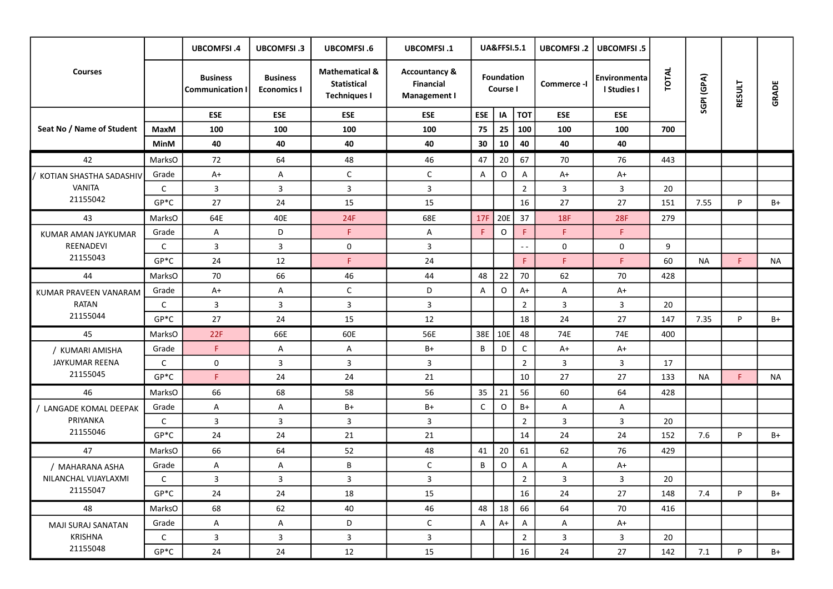|                           |              | <b>UBCOMFSI.4</b>                       | <b>UBCOMFSI.3</b>                     | <b>UBCOMFSI.6</b>                                                      | <b>UBCOMFSI.1</b>                                                   |                           | <b>UA&amp;FFSI.5.1</b>        |                           | <b>UBCOMFSI.2</b> | <b>UBCOMFSI.5</b>           |       |            |               |           |  |
|---------------------------|--------------|-----------------------------------------|---------------------------------------|------------------------------------------------------------------------|---------------------------------------------------------------------|---------------------------|-------------------------------|---------------------------|-------------------|-----------------------------|-------|------------|---------------|-----------|--|
| <b>Courses</b>            |              | <b>Business</b><br><b>Communication</b> | <b>Business</b><br><b>Economics I</b> | <b>Mathematical &amp;</b><br><b>Statistical</b><br><b>Techniques I</b> | <b>Accountancy &amp;</b><br><b>Financial</b><br><b>Management I</b> |                           | <b>Foundation</b><br>Course I |                           | Commerce -I       | Environmenta<br>I Studies I | TOTAL | SGPI (GPA) | <b>RESULT</b> | GRADE     |  |
|                           |              | <b>ESE</b>                              | <b>ESE</b>                            | <b>ESE</b>                                                             | <b>ESE</b>                                                          | <b>ESE</b>                | IA                            | <b>TOT</b>                | ESE               | ESE                         |       |            |               |           |  |
| Seat No / Name of Student | MaxM         | 100                                     | 100                                   | 100                                                                    | 100                                                                 | 75                        | 25                            | 100                       | 100               | 100                         | 700   |            |               |           |  |
|                           | <b>MinM</b>  | 40                                      | 40                                    | 40                                                                     | 40                                                                  | 30                        | 10                            | 40                        | 40                | 40                          |       |            |               |           |  |
| 42                        | MarksO       | 72                                      | 64                                    | 48                                                                     | 46                                                                  | 47                        | 20                            | 67                        | 70                | 76                          | 443   |            |               |           |  |
| / KOTIAN SHASTHA SADASHIV | Grade        | $A+$                                    | A                                     | $\mathsf C$                                                            | C                                                                   | Α                         | 0                             | Α                         | $A+$              | $A+$                        |       |            |               |           |  |
| VANITA                    | $\mathsf{C}$ | $\overline{3}$                          | 3                                     | 3                                                                      | $\mathbf{3}$                                                        |                           |                               | $\overline{2}$            | $\mathbf{3}$      | $\mathbf{3}$                | 20    |            |               |           |  |
| 21155042                  | $GP*C$       | 27                                      | 24                                    | 15                                                                     | 15                                                                  |                           |                               | 16                        | 27                | 27                          | 151   | 7.55       | P             | B+        |  |
| 43                        | MarksO       | 64E                                     | 40E                                   | 24F                                                                    | 68E                                                                 | 17F                       | 20E                           | 37                        | <b>18F</b>        | 28F                         | 279   |            |               |           |  |
| KUMAR AMAN JAYKUMAR       | Grade        | A                                       | D                                     | F.                                                                     | A                                                                   | $\mathsf F$               | $\mathsf O$                   | F.                        | F.                | F.                          |       |            |               |           |  |
| REENADEVI                 | $\mathsf{C}$ | $\overline{3}$                          | $\overline{3}$                        | 0                                                                      | 3                                                                   |                           |                               | $-$                       | $\mathsf 0$       | $\mathbf 0$                 | 9     |            |               |           |  |
| 21155043                  | $GP*C$       | 24                                      | 12                                    | F.                                                                     | 24                                                                  |                           |                               | F.                        | F.                | F.                          | 60    | NА         | F             | <b>NA</b> |  |
| 44                        | MarksO       | 70                                      | 66                                    | 46                                                                     | 44                                                                  | 48                        | 22                            | 70                        | 62                | 70                          | 428   |            |               |           |  |
| KUMAR PRAVEEN VANARAM     | Grade        | $A+$                                    | $\mathsf{A}$                          | $\mathsf{C}$                                                           | D                                                                   | A                         | $\mathsf{O}$                  | $A+$                      | A                 | $A+$                        |       |            |               |           |  |
| <b>RATAN</b>              | $\mathsf{C}$ | $\mathbf{3}$                            | $\overline{\mathbf{3}}$               | $\overline{3}$                                                         | $\mathbf{3}$                                                        |                           |                               | $\overline{2}$            | $\mathbf{3}$      | 3                           | 20    |            |               |           |  |
| 21155044                  | $GP*C$       | 27                                      | 24                                    | 15                                                                     | 12                                                                  |                           |                               | 18                        | 24                | 27                          | 147   | 7.35       | P             | $B+$      |  |
| 45                        | MarksO       | 22F                                     | 66E                                   | 60E                                                                    | 56E                                                                 | 38E                       | 10E                           | 48                        | 74E               | 74E                         | 400   |            |               |           |  |
| / KUMARI AMISHA           | Grade        | F.                                      | A                                     | A                                                                      | $B+$                                                                | B                         | D                             | $\mathsf C$               | $A+$              | $A+$                        |       |            |               |           |  |
| JAYKUMAR REENA            | $\mathsf{C}$ | $\mathsf 0$                             | $\overline{\mathbf{3}}$               | $\mathbf{3}$                                                           | $\mathbf{3}$                                                        |                           |                               | $\overline{2}$            | $\overline{3}$    | $\overline{3}$              | 17    |            |               |           |  |
| 21155045                  | $GP*C$       | F.                                      | 24                                    | 24                                                                     | 21                                                                  |                           |                               | 10                        | 27                | 27                          | 133   | <b>NA</b>  | F             | <b>NA</b> |  |
| 46                        | MarksO       | 66                                      | 68                                    | 58                                                                     | 56                                                                  | 35                        | 21                            | 56                        | 60                | 64                          | 428   |            |               |           |  |
| LANGADE KOMAL DEEPAK      | Grade        | A                                       | $\overline{A}$                        | $B+$                                                                   | $B+$                                                                | $\mathsf C$               | $\mathsf{O}$                  | $B+$                      | A                 | A                           |       |            |               |           |  |
| PRIYANKA                  | $\mathsf{C}$ | $\mathbf{3}$                            | $\overline{3}$                        | 3                                                                      | 3                                                                   |                           |                               | $\overline{2}$            | $\mathbf{3}$      | $\overline{3}$              | 20    |            |               |           |  |
| 21155046                  | $GP*C$       | 24                                      | 24                                    | 21                                                                     | 21                                                                  |                           |                               | 14                        | 24                | 24                          | 152   | 7.6        | P             | B+        |  |
| 47                        | MarksO       | 66                                      | 64                                    | 52                                                                     | 48                                                                  | 41                        | 20                            | 61                        | 62                | 76                          | 429   |            |               |           |  |
| / MAHARANA ASHA           | Grade        | A                                       | $\mathsf{A}$                          | В                                                                      | C                                                                   | B                         | O                             | A                         | A                 | A+                          |       |            |               |           |  |
| NILANCHAL VIJAYLAXMI      | $\mathsf{C}$ | $\overline{3}$                          | 3                                     | 3                                                                      | $\mathbf{3}$                                                        |                           |                               | $\overline{2}$            | $\mathbf{3}$      | $\mathbf{3}$                | 20    |            |               |           |  |
| 21155047                  | $GP*C$       | 24                                      | 24                                    | 18                                                                     | 15                                                                  |                           |                               | 16                        | 24                | 27                          | 148   | 7.4        | P             | $B+$      |  |
| 48                        | MarksO       | 68                                      | 62                                    | 40                                                                     | 46                                                                  | 48                        | 18                            | 66                        | 64                | 70                          | 416   |            |               |           |  |
| MAJI SURAJ SANATAN        | Grade        | A                                       | $\mathsf{A}$                          | D                                                                      | $\mathsf{C}$                                                        | $\boldsymbol{\mathsf{A}}$ | $A+$                          | $\boldsymbol{\mathsf{A}}$ | A                 | $A+$                        |       |            |               |           |  |
| KRISHNA                   | $\mathsf{C}$ | $\overline{3}$                          | $\overline{3}$                        | 3                                                                      | 3                                                                   |                           |                               | $\overline{2}$            | $\mathbf{3}$      | $\overline{3}$              | 20    |            |               |           |  |
| 21155048                  | $GP*C$       | 24                                      | 24                                    | 12                                                                     | 15                                                                  |                           |                               | 16                        | 24                | 27                          | 142   | 7.1        | P             | $B+$      |  |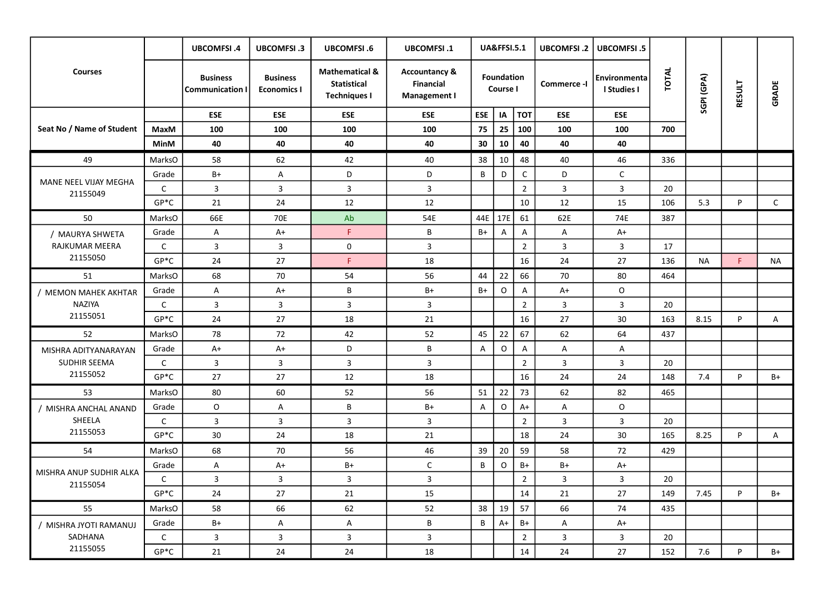|                                   |              | <b>UBCOMFSI.4</b>                         | <b>UBCOMFSI.3</b>                     | <b>UBCOMFSI.6</b>                                                      | <b>UBCOMFSI.1</b>                                                   |            | <b>UA&amp;FFSI.5.1</b>        |                | <b>UBCOMFSI.2</b> | <b>UBCOMFSI.5</b>           |       |            |               |              |  |
|-----------------------------------|--------------|-------------------------------------------|---------------------------------------|------------------------------------------------------------------------|---------------------------------------------------------------------|------------|-------------------------------|----------------|-------------------|-----------------------------|-------|------------|---------------|--------------|--|
| <b>Courses</b>                    |              | <b>Business</b><br><b>Communication I</b> | <b>Business</b><br><b>Economics I</b> | <b>Mathematical &amp;</b><br><b>Statistical</b><br><b>Techniques I</b> | <b>Accountancy &amp;</b><br><b>Financial</b><br><b>Management I</b> |            | <b>Foundation</b><br>Course I |                | Commerce -I       | Environmenta<br>I Studies I | TOTAL | SGPI (GPA) | <b>RESULT</b> | GRADE        |  |
|                                   |              | <b>ESE</b>                                | <b>ESE</b>                            | <b>ESE</b>                                                             | <b>ESE</b>                                                          | <b>ESE</b> | IA                            | <b>TOT</b>     | <b>ESE</b>        | <b>ESE</b>                  |       |            |               |              |  |
| Seat No / Name of Student         | MaxM         | 100                                       | 100                                   | 100                                                                    | 100                                                                 | 75         | 25                            | 100            | 100               | 100                         | 700   |            |               |              |  |
|                                   | <b>MinM</b>  | 40                                        | 40                                    | 40                                                                     | 40                                                                  | 30         | 10                            | 40             | 40                | 40                          |       |            |               |              |  |
| 49                                | MarksO       | 58                                        | 62                                    | 42                                                                     | 40                                                                  | 38         | 10                            | 48             | 40                | 46                          | 336   |            |               |              |  |
|                                   | Grade        | B+                                        | $\mathsf{A}$                          | D                                                                      | D                                                                   | B          | D                             | $\mathsf{C}$   | D                 | $\mathsf{C}$                |       |            |               |              |  |
| MANE NEEL VIJAY MEGHA<br>21155049 | $\mathsf{C}$ | $\mathbf{3}$                              | 3                                     | 3                                                                      | 3                                                                   |            |                               | $\overline{2}$ | $\overline{3}$    | $\overline{3}$              | 20    |            |               |              |  |
|                                   | $GP*C$       | 21                                        | 24                                    | 12                                                                     | 12                                                                  |            |                               | 10             | 12                | 15                          | 106   | 5.3        | P             | $\mathsf{C}$ |  |
| 50                                | MarksO       | 66E                                       | 70E                                   | Ab                                                                     | 54E                                                                 | 44E        | 17E                           | 61             | 62E               | 74E                         | 387   |            |               |              |  |
| / MAURYA SHWETA                   | Grade        | A                                         | A+                                    | F.                                                                     | B                                                                   | $B+$       | A                             | A              | A                 | $A+$                        |       |            |               |              |  |
| RAJKUMAR MEERA                    | $\mathsf{C}$ | $\mathbf{3}$                              | $\overline{3}$                        | 0                                                                      | 3                                                                   |            |                               | $\overline{2}$ | $\overline{3}$    | 3                           | 17    |            |               |              |  |
| 21155050                          | $GP*C$       | 24                                        | 27                                    | F.                                                                     | 18                                                                  |            |                               | 16             | 24                | 27                          | 136   | <b>NA</b>  | F             | <b>NA</b>    |  |
| 51                                | MarksO       | 68                                        | 70                                    | 54                                                                     | 56                                                                  | 44         | 22                            | 66             | 70                | 80                          | 464   |            |               |              |  |
| / MEMON MAHEK AKHTAR              | Grade        | A                                         | A+                                    | B                                                                      | $B+$                                                                | $B+$       | $\circ$                       | A              | $A+$              | $\circ$                     |       |            |               |              |  |
| NAZIYA                            | $\mathsf{C}$ | $\mathbf{3}$                              | $\overline{3}$                        | $\mathbf{3}$                                                           | 3                                                                   |            |                               | $\overline{2}$ | $\mathbf{3}$      | $\overline{3}$              | 20    |            |               |              |  |
| 21155051                          | $GP*C$       | 24                                        | 27                                    | 18                                                                     | 21                                                                  |            |                               | 16             | 27                | 30                          | 163   | 8.15       | P             | Α            |  |
| 52                                | MarksO       | 78                                        | 72                                    | 42                                                                     | 52                                                                  | 45         | 22                            | 67             | 62                | 64                          | 437   |            |               |              |  |
| MISHRA ADITYANARAYAN              | Grade        | $A+$                                      | $A+$                                  | D                                                                      | B                                                                   | A          | $\circ$                       | A              | A                 | A                           |       |            |               |              |  |
| SUDHIR SEEMA                      | $\mathsf{C}$ | $\overline{3}$                            | 3                                     | $\mathbf{3}$                                                           | 3                                                                   |            |                               | $\overline{2}$ | $\overline{3}$    | $\overline{3}$              | 20    |            |               |              |  |
| 21155052                          | $GP*C$       | 27                                        | 27                                    | 12                                                                     | 18                                                                  |            |                               | 16             | 24                | 24                          | 148   | 7.4        | P             | $B+$         |  |
| 53                                | MarksO       | 80                                        | 60                                    | 52                                                                     | 56                                                                  | 51         | 22                            | 73             | 62                | 82                          | 465   |            |               |              |  |
| MISHRA ANCHAL ANAND               | Grade        | $\circ$                                   | $\overline{A}$                        | В                                                                      | $B+$                                                                | A          | 0                             | $A+$           | A                 | $\circ$                     |       |            |               |              |  |
| SHEELA                            | $\mathsf{C}$ | $\mathbf{3}$                              | $\overline{3}$                        | 3                                                                      | 3                                                                   |            |                               | $\overline{2}$ | $\mathbf{3}$      | $\overline{3}$              | 20    |            |               |              |  |
| 21155053                          | $GP*C$       | 30                                        | 24                                    | 18                                                                     | 21                                                                  |            |                               | 18             | 24                | 30                          | 165   | 8.25       | P             | Α            |  |
| 54                                | MarksO       | 68                                        | 70                                    | 56                                                                     | 46                                                                  | 39         | 20                            | 59             | 58                | 72                          | 429   |            |               |              |  |
| MISHRA ANUP SUDHIR ALKA           | Grade        | A                                         | A+                                    | B+                                                                     | C                                                                   | B          | 0                             | $B+$           | B+                | $A+$                        |       |            |               |              |  |
| 21155054                          | $\mathsf C$  | $\overline{\mathbf{3}}$                   | $\mathsf 3$                           | 3                                                                      | $\mathbf{3}$                                                        |            |                               | $\overline{2}$ | $\mathbf{3}$      | $\mathbf{3}$                | 20    |            |               |              |  |
|                                   | $GP*C$       | 24                                        | 27                                    | 21                                                                     | 15                                                                  |            |                               | 14             | 21                | 27                          | 149   | 7.45       | P             | B+           |  |
| 55                                | MarksO       | 58                                        | 66                                    | 62                                                                     | 52                                                                  | 38         | 19                            | 57             | 66                | 74                          | 435   |            |               |              |  |
| / MISHRA JYOTI RAMANUJ            | Grade        | B+                                        | $\overline{A}$                        | A                                                                      | B                                                                   | B          | $A+$                          | $B+$           | A                 | A+                          |       |            |               |              |  |
| SADHANA                           | $\mathsf{C}$ | $\mathbf{3}$                              | $\overline{\mathbf{3}}$               | 3                                                                      | $\mathbf{3}$                                                        |            |                               | $\overline{2}$ | $\mathbf{3}$      | $\overline{3}$              | 20    |            |               |              |  |
| 21155055                          | $GP*C$       | 21                                        | 24                                    | 24                                                                     | 18                                                                  |            |                               | 14             | 24                | 27                          | 152   | 7.6        | P             | $B+$         |  |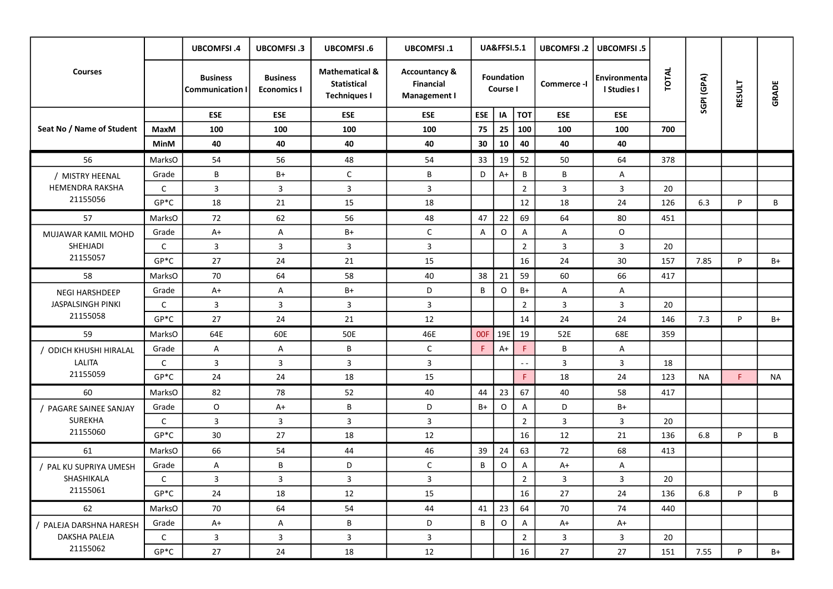|                           |              | <b>UBCOMFSI.4</b>                         | <b>UBCOMFSI.3</b>                     | <b>UBCOMFSI.6</b>                                                      | <b>UBCOMFSI.1</b>                                                   |             | <b>UA&amp;FFSI.5.1</b>        |                | <b>UBCOMFSI.2</b> | <b>UBCOMFSI.5</b>           |       |            |               |       |  |
|---------------------------|--------------|-------------------------------------------|---------------------------------------|------------------------------------------------------------------------|---------------------------------------------------------------------|-------------|-------------------------------|----------------|-------------------|-----------------------------|-------|------------|---------------|-------|--|
| <b>Courses</b>            |              | <b>Business</b><br><b>Communication I</b> | <b>Business</b><br><b>Economics I</b> | <b>Mathematical &amp;</b><br><b>Statistical</b><br><b>Techniques I</b> | <b>Accountancy &amp;</b><br><b>Financial</b><br><b>Management I</b> |             | <b>Foundation</b><br>Course I |                | Commerce -I       | Environmenta<br>I Studies I | TOTAL | SGPI (GPA) | <b>RESULT</b> | GRADE |  |
|                           |              | <b>ESE</b>                                | <b>ESE</b>                            | <b>ESE</b>                                                             | <b>ESE</b>                                                          | <b>ESE</b>  | IA                            | <b>TOT</b>     | <b>ESE</b>        | <b>ESE</b>                  |       |            |               |       |  |
| Seat No / Name of Student | MaxM         | 100                                       | 100                                   | 100                                                                    | 100                                                                 | 75          | 25                            | 100            | 100               | 100                         | 700   |            |               |       |  |
|                           | <b>MinM</b>  | 40                                        | 40                                    | 40                                                                     | 40                                                                  | 30          | 10                            | 40             | 40                | 40                          |       |            |               |       |  |
| 56                        | MarksO       | 54                                        | 56                                    | 48                                                                     | 54                                                                  | 33          | 19                            | 52             | 50                | 64                          | 378   |            |               |       |  |
| / MISTRY HEENAL           | Grade        | B                                         | B+                                    | $\mathsf C$                                                            | B                                                                   | D           | A+                            | B              | $\, {\bf B}$      | A                           |       |            |               |       |  |
| HEMENDRA RAKSHA           | $\mathsf{C}$ | $\mathbf{3}$                              | $\overline{3}$                        | 3                                                                      | 3                                                                   |             |                               | $\overline{2}$ | $\overline{3}$    | $\mathbf{3}$                | 20    |            |               |       |  |
| 21155056                  | $GP*C$       | 18                                        | 21                                    | 15                                                                     | 18                                                                  |             |                               | 12             | 18                | 24                          | 126   | 6.3        | <b>P</b>      | B     |  |
| 57                        | MarksO       | 72                                        | 62                                    | 56                                                                     | 48                                                                  | 47          | 22                            | 69             | 64                | 80                          | 451   |            |               |       |  |
| MUJAWAR KAMIL MOHD        | Grade        | $A+$                                      | A                                     | $B+$                                                                   | $\mathsf{C}$                                                        | A           | $\circ$                       | Α              | A                 | $\circ$                     |       |            |               |       |  |
| SHEHJADI                  | $\mathsf{C}$ | $\mathbf{3}$                              | $\overline{3}$                        | 3                                                                      | 3                                                                   |             |                               | $\overline{2}$ | $\overline{3}$    | 3                           | 20    |            |               |       |  |
| 21155057                  | $GP*C$       | 27                                        | 24                                    | 21                                                                     | 15                                                                  |             |                               | 16             | 24                | 30                          | 157   | 7.85       | P             | $B+$  |  |
| 58                        | MarksO       | 70                                        | 64                                    | 58                                                                     | 40                                                                  | 38          | 21                            | 59             | 60                | 66                          | 417   |            |               |       |  |
| NEGI HARSHDEEP            | Grade        | $A+$                                      | A                                     | $B+$                                                                   | D                                                                   | B           | $\circ$                       | $B+$           | A                 | A                           |       |            |               |       |  |
| JASPALSINGH PINKI         | $\mathsf{C}$ | $\mathbf{3}$                              | $\overline{3}$                        | 3                                                                      | 3                                                                   |             |                               | $\overline{2}$ | $\mathbf{3}$      | $\overline{3}$              | 20    |            |               |       |  |
| 21155058                  | $GP*C$       | 27                                        | 24                                    | 21                                                                     | 12                                                                  |             |                               | 14             | 24                | 24                          | 146   | 7.3        | P             | $B+$  |  |
| 59                        | MarksO       | 64E                                       | 60E                                   | <b>50E</b>                                                             | 46E                                                                 | 00F         | 19E                           | 19             | 52E               | 68E                         | 359   |            |               |       |  |
| ODICH KHUSHI HIRALAL      | Grade        | A                                         | $\overline{A}$                        | В                                                                      | $\mathsf{C}$                                                        | $\mathsf F$ | $A+$                          | F.             | B                 | A                           |       |            |               |       |  |
| LALITA                    | $\mathsf{C}$ | $\overline{3}$                            | 3                                     | $\mathbf{3}$                                                           | 3                                                                   |             |                               | $ -$           | $\overline{3}$    | $\overline{3}$              | 18    |            |               |       |  |
| 21155059                  | $GP*C$       | 24                                        | 24                                    | 18                                                                     | 15                                                                  |             |                               | F.             | 18                | 24                          | 123   | <b>NA</b>  | F             | NA    |  |
| 60                        | MarksO       | 82                                        | 78                                    | 52                                                                     | 40                                                                  | 44          | 23                            | 67             | 40                | 58                          | 417   |            |               |       |  |
| PAGARE SAINEE SANJAY      | Grade        | $\circ$                                   | $A+$                                  | В                                                                      | D                                                                   | B+          | $\mathsf{O}$                  | Α              | D                 | $B+$                        |       |            |               |       |  |
| <b>SUREKHA</b>            | $\mathsf{C}$ | $\mathsf{3}$                              | $\overline{3}$                        | 3                                                                      | 3                                                                   |             |                               | $\overline{2}$ | $\mathbf{3}$      | 3                           | 20    |            |               |       |  |
| 21155060                  | $GP*C$       | 30                                        | 27                                    | 18                                                                     | 12                                                                  |             |                               | 16             | 12                | 21                          | 136   | 6.8        | P             | B     |  |
| 61                        | MarksO       | 66                                        | 54                                    | 44                                                                     | 46                                                                  | 39          | 24                            | 63             | 72                | 68                          | 413   |            |               |       |  |
| / PAL KU SUPRIYA UMESH    | Grade        | A                                         | В                                     | D                                                                      | C                                                                   | B           | O                             | A              | A+                | A                           |       |            |               |       |  |
| SHASHIKALA                | $\mathsf{C}$ | $\overline{\mathbf{3}}$                   | $\mathbf{3}$                          | $\mathbf{3}$                                                           | $\mathbf{3}$                                                        |             |                               | $\sqrt{2}$     | $\mathbf{3}$      | $\mathbf{3}$                | 20    |            |               |       |  |
| 21155061                  | $GP*C$       | 24                                        | 18                                    | 12                                                                     | 15                                                                  |             |                               | 16             | 27                | 24                          | 136   | 6.8        | P             | B     |  |
| 62                        | MarksO       | 70                                        | 64                                    | 54                                                                     | 44                                                                  | 41          | 23                            | 64             | 70                | 74                          | 440   |            |               |       |  |
| / PALEJA DARSHNA HARESH   | Grade        | $A+$                                      | $\mathsf{A}$                          | B                                                                      | D                                                                   | B           | $\mathsf O$                   | $\mathsf{A}$   | $A+$              | $A+$                        |       |            |               |       |  |
| DAKSHA PALEJA             | $\mathsf{C}$ | $\mathbf{3}$                              | $\overline{\mathbf{3}}$               | $\mathbf{3}$                                                           | $\mathbf{3}$                                                        |             |                               | $\overline{2}$ | $\mathbf{3}$      | $\mathbf{3}$                | 20    |            |               |       |  |
| 21155062                  | $GP*C$       | 27                                        | 24                                    | 18                                                                     | 12                                                                  |             |                               | 16             | 27                | 27                          | 151   | 7.55       | P             | $B+$  |  |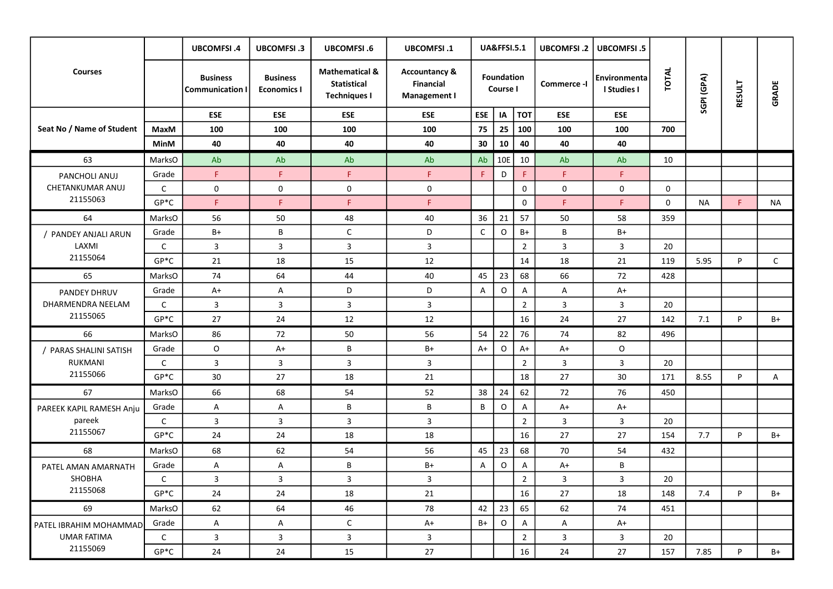|                           |              | <b>UBCOMFSI.4</b>                         | <b>UBCOMFSI.3</b>                     | <b>UBCOMFSI.6</b>                                                      | <b>UBCOMFSI.1</b>                                                   |             | <b>UA&amp;FFSI.5.1</b>        |                | <b>UBCOMFSI.2</b> | <b>UBCOMFSI.5</b>           |              |            |               |              |  |
|---------------------------|--------------|-------------------------------------------|---------------------------------------|------------------------------------------------------------------------|---------------------------------------------------------------------|-------------|-------------------------------|----------------|-------------------|-----------------------------|--------------|------------|---------------|--------------|--|
| <b>Courses</b>            |              | <b>Business</b><br><b>Communication I</b> | <b>Business</b><br><b>Economics I</b> | <b>Mathematical &amp;</b><br><b>Statistical</b><br><b>Techniques I</b> | <b>Accountancy &amp;</b><br><b>Financial</b><br><b>Management I</b> |             | <b>Foundation</b><br>Course I |                | Commerce -I       | Environmenta<br>I Studies I | TOTAL        | SGPI (GPA) | <b>RESULT</b> | GRADE        |  |
|                           |              | <b>ESE</b>                                | <b>ESE</b>                            | <b>ESE</b>                                                             | <b>ESE</b>                                                          | <b>ESE</b>  | IA                            | <b>TOT</b>     | <b>ESE</b>        | <b>ESE</b>                  |              |            |               |              |  |
| Seat No / Name of Student | MaxM         | 100                                       | 100                                   | 100                                                                    | 100                                                                 | 75          | 25                            | 100            | 100               | 100                         | 700          |            |               |              |  |
|                           | <b>MinM</b>  | 40                                        | 40                                    | 40                                                                     | 40                                                                  | 30          | 10                            | 40             | 40                | 40                          |              |            |               |              |  |
| 63                        | MarksO       | Ab                                        | Ab                                    | Ab                                                                     | Ab                                                                  | Ab          | 10E                           | 10             | Ab                | Ab                          | 10           |            |               |              |  |
| PANCHOLI ANUJ             | Grade        | F.                                        | F.                                    | F                                                                      | F.                                                                  | F.          | D                             | F              | F.                | F.                          |              |            |               |              |  |
| CHETANKUMAR ANUJ          | $\mathsf{C}$ | $\mathbf 0$                               | $\mathbf 0$                           | $\mathbf 0$                                                            | 0                                                                   |             |                               | 0              | 0                 | $\mathbf{0}$                | $\mathsf{O}$ |            |               |              |  |
| 21155063                  | $GP*C$       | F.                                        | F.                                    | F.                                                                     | F.                                                                  |             |                               | 0              | F.                | F.                          | $\mathbf 0$  | <b>NA</b>  | E.            | <b>NA</b>    |  |
| 64                        | MarksO       | 56                                        | 50                                    | 48                                                                     | 40                                                                  | 36          | 21                            | 57             | 50                | 58                          | 359          |            |               |              |  |
| PANDEY ANJALI ARUN        | Grade        | B+                                        | В                                     | $\mathsf C$                                                            | D                                                                   | $\mathsf C$ | $\mathsf{O}$                  | $B+$           | B                 | $B+$                        |              |            |               |              |  |
| LAXMI                     | $\mathsf{C}$ | $\mathsf{3}$                              | $\overline{3}$                        | 3                                                                      | $\mathbf{3}$                                                        |             |                               | $\overline{2}$ | $\overline{3}$    | 3                           | 20           |            |               |              |  |
| 21155064                  | $GP*C$       | 21                                        | 18                                    | 15                                                                     | 12                                                                  |             |                               | 14             | 18                | 21                          | 119          | 5.95       | P             | $\mathsf{C}$ |  |
| 65                        | MarksO       | 74                                        | 64                                    | 44                                                                     | 40                                                                  | 45          | 23                            | 68             | 66                | 72                          | 428          |            |               |              |  |
| PANDEY DHRUV              | Grade        | $A+$                                      | A                                     | D                                                                      | D                                                                   | A           | $\circ$                       | A              | A                 | $A+$                        |              |            |               |              |  |
| DHARMENDRA NEELAM         | $\mathsf{C}$ | $\mathbf{3}$                              | $\overline{3}$                        | $\mathbf{3}$                                                           | 3                                                                   |             |                               | $\overline{2}$ | $\mathbf{3}$      | $\overline{3}$              | 20           |            |               |              |  |
| 21155065                  | $GP*C$       | 27                                        | 24                                    | 12                                                                     | 12                                                                  |             |                               | 16             | 24                | 27                          | 142          | 7.1        | P             | $B+$         |  |
| 66                        | MarksO       | 86                                        | 72                                    | 50                                                                     | 56                                                                  | 54          | 22                            | 76             | 74                | 82                          | 496          |            |               |              |  |
| PARAS SHALINI SATISH      | Grade        | $\circ$                                   | A+                                    | В                                                                      | $B+$                                                                | $A+$        | $\circ$                       | $A+$           | $A+$              | $\circ$                     |              |            |               |              |  |
| RUKMANI                   | $\mathsf{C}$ | $\mathbf{3}$                              | 3                                     | $\mathbf{3}$                                                           | 3                                                                   |             |                               | $\overline{2}$ | $\overline{3}$    | $\overline{3}$              | 20           |            |               |              |  |
| 21155066                  | $GP*C$       | 30                                        | 27                                    | 18                                                                     | 21                                                                  |             |                               | 18             | 27                | 30                          | 171          | 8.55       | P             | Α            |  |
| 67                        | MarksO       | 66                                        | 68                                    | 54                                                                     | 52                                                                  | 38          | 24                            | 62             | 72                | 76                          | 450          |            |               |              |  |
| PAREEK KAPIL RAMESH Anju  | Grade        | A                                         | $\overline{A}$                        | В                                                                      | B                                                                   | B           | $\mathsf{O}$                  | A              | $A+$              | $A+$                        |              |            |               |              |  |
| pareek                    | $\mathsf{C}$ | $\mathsf{3}$                              | $\overline{3}$                        | 3                                                                      | 3                                                                   |             |                               | $\overline{2}$ | $\overline{3}$    | 3                           | 20           |            |               |              |  |
| 21155067                  | $GP*C$       | 24                                        | 24                                    | 18                                                                     | 18                                                                  |             |                               | 16             | 27                | 27                          | 154          | 7.7        | <b>P</b>      | $B+$         |  |
| 68                        | MarksO       | 68                                        | 62                                    | 54                                                                     | 56                                                                  | 45          | 23                            | 68             | 70                | 54                          | 432          |            |               |              |  |
| PATEL AMAN AMARNATH       | Grade        | A                                         | A                                     | В                                                                      | B+                                                                  | A           | O                             | A              | A+                | В                           |              |            |               |              |  |
| SHOBHA                    | $\mathsf{C}$ | $\overline{\mathbf{3}}$                   | $\mathbf{3}$                          | $\mathbf{3}$                                                           | $\mathbf{3}$                                                        |             |                               | $\sqrt{2}$     | $\mathbf{3}$      | $\mathbf{3}$                | 20           |            |               |              |  |
| 21155068                  | $GP*C$       | 24                                        | 24                                    | 18                                                                     | 21                                                                  |             |                               | 16             | 27                | 18                          | 148          | 7.4        | P             | B+           |  |
| 69                        | MarksO       | 62                                        | 64                                    | 46                                                                     | 78                                                                  | 42          | 23                            | 65             | 62                | 74                          | 451          |            |               |              |  |
| PATEL IBRAHIM MOHAMMAD    | Grade        | $\mathsf{A}$                              | $\overline{A}$                        | $\mathsf C$                                                            | $A+$                                                                | $B+$        | $\circ$                       | $\mathsf{A}$   | A                 | $A+$                        |              |            |               |              |  |
| <b>UMAR FATIMA</b>        | $\mathsf{C}$ | $\mathbf{3}$                              | $\overline{\mathbf{3}}$               | $\mathbf{3}$                                                           | $\mathbf{3}$                                                        |             |                               | $\overline{2}$ | $\mathbf{3}$      | $\mathbf{3}$                | 20           |            |               |              |  |
| 21155069                  | $GP*C$       | 24                                        | 24                                    | 15                                                                     | 27                                                                  |             |                               | 16             | 24                | 27                          | 157          | 7.85       | P             | $B+$         |  |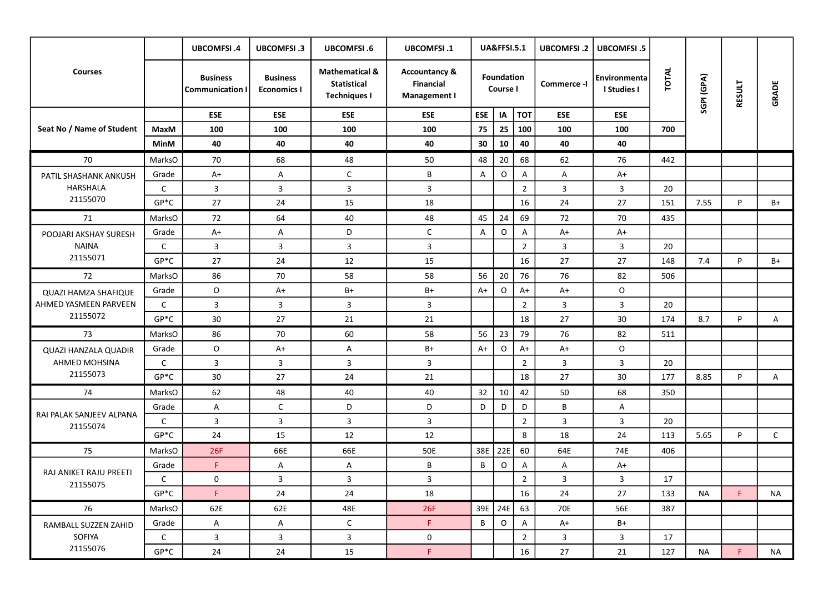|                             |              | <b>UBCOMFSI.4</b>                         | <b>UBCOMFSI.3</b>                     | <b>UBCOMFSI.6</b>                                                      | <b>UBCOMFSI.1</b>                                            |                           |                               | <b>UA&amp;FFSI.5.1</b> | <b>UBCOMFSI.2</b> | <b>UBCOMFSI.5</b>           |       |            |               |           |  |
|-----------------------------|--------------|-------------------------------------------|---------------------------------------|------------------------------------------------------------------------|--------------------------------------------------------------|---------------------------|-------------------------------|------------------------|-------------------|-----------------------------|-------|------------|---------------|-----------|--|
| <b>Courses</b>              |              | <b>Business</b><br><b>Communication I</b> | <b>Business</b><br><b>Economics I</b> | <b>Mathematical &amp;</b><br><b>Statistical</b><br><b>Techniques I</b> | <b>Accountancy &amp;</b><br>Financial<br><b>Management I</b> |                           | <b>Foundation</b><br>Course I |                        | Commerce -I       | Environmenta<br>I Studies I | TOTAL | SGPI (GPA) | <b>RESULT</b> | GRADE     |  |
|                             |              | ESE                                       | <b>ESE</b>                            | ESE                                                                    | ESE                                                          | <b>ESE</b>                | IA                            | <b>TOT</b>             | ESE               | <b>ESE</b>                  |       |            |               |           |  |
| Seat No / Name of Student   | <b>MaxM</b>  | 100                                       | 100                                   | 100                                                                    | 100                                                          | 75                        | 25                            | 100                    | 100               | 100                         | 700   |            |               |           |  |
|                             | MinM         | 40                                        | 40                                    | 40                                                                     | 40                                                           | 30                        | 10                            | 40                     | 40                | 40                          |       |            |               |           |  |
| 70                          | MarksO       | 70                                        | 68                                    | 48                                                                     | 50                                                           | 48                        | 20                            | 68                     | 62                | 76                          | 442   |            |               |           |  |
| PATIL SHASHANK ANKUSH       | Grade        | $A+$                                      | $\mathsf{A}$                          | $\mathsf C$                                                            | B                                                            | A                         | $\mathsf O$                   | Α                      | A                 | A+                          |       |            |               |           |  |
| HARSHALA                    | $\mathsf{C}$ | $\overline{3}$                            | 3                                     | $\overline{3}$                                                         | $\mathbf{3}$                                                 |                           |                               | $\overline{2}$         | $\mathbf{3}$      | $\mathbf{3}$                | 20    |            |               |           |  |
| 21155070                    | $GP*C$       | 27                                        | 24                                    | 15                                                                     | 18                                                           |                           |                               | 16                     | 24                | 27                          | 151   | 7.55       | P             | B+        |  |
| 71                          | MarksO       | 72                                        | 64                                    | 40                                                                     | 48                                                           | 45                        | 24                            | 69                     | 72                | 70                          | 435   |            |               |           |  |
| POOJARI AKSHAY SURESH       | Grade        | $A+$                                      | A                                     | D                                                                      | $\mathsf{C}$                                                 | $\boldsymbol{\mathsf{A}}$ | $\mathsf O$                   | A                      | $A+$              | $A+$                        |       |            |               |           |  |
| <b>NAINA</b>                | $\mathsf{C}$ | $\overline{3}$                            | $\overline{3}$                        | 3                                                                      | $\mathbf{3}$                                                 |                           |                               | $\overline{2}$         | $\mathbf{3}$      | $\mathbf{3}$                | 20    |            |               |           |  |
| 21155071                    | $GP*C$       | 27                                        | 24                                    | 12                                                                     | 15                                                           |                           |                               | 16                     | 27                | 27                          | 148   | 7.4        | P             | $B+$      |  |
| 72                          | MarksO       | 86                                        | 70                                    | 58                                                                     | 58                                                           | 56                        | 20                            | 76                     | 76                | 82                          | 506   |            |               |           |  |
| QUAZI HAMZA SHAFIQUE        | Grade        | O                                         | A+                                    | B+                                                                     | B+                                                           | $A+$                      | O                             | $A+$                   | $A+$              | $\circ$                     |       |            |               |           |  |
| AHMED YASMEEN PARVEEN       | $\mathsf{C}$ | $\overline{3}$                            | $\overline{3}$                        | $\mathbf{3}$                                                           | 3                                                            |                           |                               | $\overline{2}$         | $\mathbf{3}$      | 3                           | 20    |            |               |           |  |
| 21155072                    | $GP*C$       | 30                                        | 27                                    | 21                                                                     | 21                                                           |                           |                               | 18                     | 27                | 30                          | 174   | 8.7        | P             | A         |  |
| 73                          | MarksO       | 86                                        | 70                                    | 60                                                                     | 58                                                           | 56                        | 23                            | 79                     | 76                | 82                          | 511   |            |               |           |  |
| <b>QUAZI HANZALA QUADIR</b> | Grade        | $\mathsf O$                               | $A+$                                  | Α                                                                      | $B+$                                                         | $A+$                      | O                             | $A+$                   | $A+$              | $\circ$                     |       |            |               |           |  |
| AHMED MOHSINA               | $\mathsf{C}$ | $\overline{3}$                            | $\overline{3}$                        | $\mathbf{3}$                                                           | $\mathbf{3}$                                                 |                           |                               | $\overline{2}$         | $\mathbf{3}$      | $\mathbf{3}$                | 20    |            |               |           |  |
| 21155073                    | $GP*C$       | 30                                        | 27                                    | 24                                                                     | 21                                                           |                           |                               | 18                     | 27                | 30                          | 177   | 8.85       | P             | A         |  |
| 74                          | MarksO       | 62                                        | 48                                    | 40                                                                     | 40                                                           | 32                        | 10                            | 42                     | 50                | 68                          | 350   |            |               |           |  |
| RAI PALAK SANJEEV ALPANA    | Grade        | A                                         | $\mathsf{C}$                          | D                                                                      | D                                                            | D                         | D                             | D                      | B                 | A                           |       |            |               |           |  |
| 21155074                    | $\mathsf{C}$ | $\overline{3}$                            | $\overline{3}$                        | 3                                                                      | 3                                                            |                           |                               | $\overline{2}$         | $\mathbf{3}$      | $\mathbf{3}$                | 20    |            |               |           |  |
|                             | $GP*C$       | 24                                        | 15                                    | 12                                                                     | 12                                                           |                           |                               | 8                      | 18                | 24                          | 113   | 5.65       | P             | C         |  |
| 75                          | MarksO       | 26F                                       | 66E                                   | 66E                                                                    | 50E                                                          | 38E                       | 22E                           | 60                     | 64E               | 74E                         | 406   |            |               |           |  |
| RAJ ANIKET RAJU PREETI      | Grade        | F                                         | A                                     | A                                                                      | B                                                            | B                         | O                             | Α                      | A                 | A+                          |       |            |               |           |  |
| 21155075                    | $\mathsf{C}$ | $\mathbf 0$                               | 3                                     | 3                                                                      | 3                                                            |                           |                               | $\overline{2}$         | $\mathbf{3}$      | $\overline{3}$              | 17    |            |               |           |  |
|                             | $GP*C$       | F.                                        | 24                                    | 24                                                                     | 18                                                           |                           |                               | 16                     | 24                | 27                          | 133   | <b>NA</b>  | F.            | <b>NA</b> |  |
| 76                          | MarksO       | 62E                                       | 62E                                   | 48E                                                                    | 26F                                                          | 39E 24E                   |                               | 63                     | 70E               | 56E                         | 387   |            |               |           |  |
| RAMBALL SUZZEN ZAHID        | Grade        | A                                         | $\mathsf{A}$                          | $\mathsf C$                                                            | F.                                                           | B                         | $\circ$                       | A                      | $A+$              | $B+$                        |       |            |               |           |  |
| <b>SOFIYA</b>               | $\mathsf{C}$ | $\overline{3}$                            | $\mathbf{3}$                          | 3                                                                      | 0                                                            |                           |                               | $\overline{2}$         | $\overline{3}$    | $\mathbf{3}$                | 17    |            |               |           |  |
| 21155076                    | $GP*C$       | 24                                        | 24                                    | 15                                                                     | F.                                                           |                           |                               | 16                     | 27                | 21                          | 127   | NA         | F.            | <b>NA</b> |  |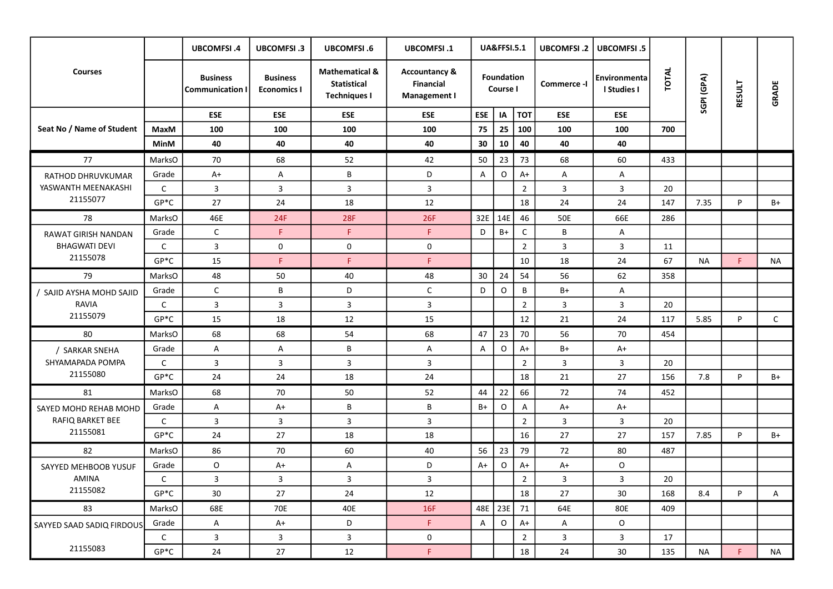|                           |              | <b>UBCOMFSI.4</b>                       | <b>UBCOMFSI.3</b>                     | <b>UBCOMFSI.6</b>                                                      | <b>UBCOMFSI.1</b>                                                   |                           | <b>UA&amp;FFSI.5.1</b>        |                | <b>UBCOMFSI.2</b> | <b>UBCOMFSI.5</b>           |       |            |               |              |  |
|---------------------------|--------------|-----------------------------------------|---------------------------------------|------------------------------------------------------------------------|---------------------------------------------------------------------|---------------------------|-------------------------------|----------------|-------------------|-----------------------------|-------|------------|---------------|--------------|--|
| <b>Courses</b>            |              | <b>Business</b><br><b>Communication</b> | <b>Business</b><br><b>Economics I</b> | <b>Mathematical &amp;</b><br><b>Statistical</b><br><b>Techniques I</b> | <b>Accountancy &amp;</b><br><b>Financial</b><br><b>Management I</b> |                           | <b>Foundation</b><br>Course I |                | Commerce -I       | Environmenta<br>I Studies I | TOTAL | SGPI (GPA) | <b>RESULT</b> | GRADE        |  |
|                           |              | <b>ESE</b>                              | <b>ESE</b>                            | <b>ESE</b>                                                             | <b>ESE</b>                                                          | <b>ESE</b>                | IA                            | <b>TOT</b>     | ESE               | ESE                         |       |            |               |              |  |
| Seat No / Name of Student | MaxM         | 100                                     | 100                                   | 100                                                                    | 100                                                                 | 75                        | 25                            | 100            | 100               | 100                         | 700   |            |               |              |  |
|                           | <b>MinM</b>  | 40                                      | 40                                    | 40                                                                     | 40                                                                  | 30                        | 10                            | 40             | 40                | 40                          |       |            |               |              |  |
| 77                        | MarksO       | 70                                      | 68                                    | 52                                                                     | 42                                                                  | 50                        | 23                            | 73             | 68                | 60                          | 433   |            |               |              |  |
| RATHOD DHRUVKUMAR         | Grade        | $A+$                                    | A                                     | В                                                                      | D                                                                   | A                         | $\circ$                       | $A+$           | A                 | A                           |       |            |               |              |  |
| YASWANTH MEENAKASHI       | $\mathsf{C}$ | $\overline{3}$                          | $\overline{3}$                        | 3                                                                      | $\mathbf{3}$                                                        |                           |                               | $\overline{2}$ | $\mathbf{3}$      | $\overline{3}$              | 20    |            |               |              |  |
| 21155077                  | $GP*C$       | 27                                      | 24                                    | 18                                                                     | 12                                                                  |                           |                               | 18             | 24                | 24                          | 147   | 7.35       | P             | B+           |  |
| 78                        | MarksO       | 46E                                     | 24F                                   | 28F                                                                    | 26F                                                                 | 32E                       | 14E                           | 46             | 50E               | 66E                         | 286   |            |               |              |  |
| RAWAT GIRISH NANDAN       | Grade        | $\mathsf{C}$                            | F                                     | F.                                                                     | F.                                                                  | D                         | $B+$                          | $\mathsf C$    | B                 | A                           |       |            |               |              |  |
| <b>BHAGWATI DEVI</b>      | $\mathsf{C}$ | $\mathbf{3}$                            | $\mathbf 0$                           | 0                                                                      | 0                                                                   |                           |                               | $\overline{2}$ | $\mathbf{3}$      | 3                           | 11    |            |               |              |  |
| 21155078                  | $GP*C$       | 15                                      | F.                                    | F.                                                                     | F.                                                                  |                           |                               | 10             | 18                | 24                          | 67    | <b>NA</b>  | F             | <b>NA</b>    |  |
| 79                        | MarksO       | 48                                      | 50                                    | 40                                                                     | 48                                                                  | 30                        | 24                            | 54             | 56                | 62                          | 358   |            |               |              |  |
| SAJID AYSHA MOHD SAJID    | Grade        | $\mathsf{C}$                            | B                                     | D                                                                      | $\mathsf{C}$                                                        | D                         | $\circ$                       | B              | B+                | A                           |       |            |               |              |  |
| RAVIA                     | $\mathsf{C}$ | $\mathbf{3}$                            | $\overline{\mathbf{3}}$               | $\overline{3}$                                                         | $\mathbf{3}$                                                        |                           |                               | $\overline{2}$ | $\mathbf{3}$      | 3                           | 20    |            |               |              |  |
| 21155079                  | $GP*C$       | 15                                      | 18                                    | 12                                                                     | 15                                                                  |                           |                               | 12             | 21                | 24                          | 117   | 5.85       | P             | $\mathsf{C}$ |  |
| 80                        | MarksO       | 68                                      | 68                                    | 54                                                                     | 68                                                                  | 47                        | 23                            | 70             | 56                | 70                          | 454   |            |               |              |  |
| / SARKAR SNEHA            | Grade        | A                                       | $\mathsf{A}$                          | В                                                                      | A                                                                   | A                         | $\circ$                       | $A+$           | B+                | $A+$                        |       |            |               |              |  |
| SHYAMAPADA POMPA          | $\mathsf{C}$ | $\overline{3}$                          | $\overline{\mathbf{3}}$               | 3                                                                      | 3                                                                   |                           |                               | $\overline{2}$ | $\mathbf{3}$      | $\overline{3}$              | 20    |            |               |              |  |
| 21155080                  | $GP*C$       | 24                                      | 24                                    | 18                                                                     | 24                                                                  |                           |                               | 18             | 21                | 27                          | 156   | 7.8        | P             | B+           |  |
| 81                        | MarksO       | 68                                      | 70                                    | 50                                                                     | 52                                                                  | 44                        | 22                            | 66             | 72                | 74                          | 452   |            |               |              |  |
| SAYED MOHD REHAB MOHD     | Grade        | A                                       | $A+$                                  | В                                                                      | B                                                                   | B+                        | $\mathsf{O}$                  | Α              | $A+$              | $A+$                        |       |            |               |              |  |
| RAFIQ BARKET BEE          | $\mathsf{C}$ | $\mathbf{3}$                            | $\overline{3}$                        | 3                                                                      | 3                                                                   |                           |                               | $\overline{2}$ | $\mathbf{3}$      | $\overline{3}$              | 20    |            |               |              |  |
| 21155081                  | $GP*C$       | 24                                      | 27                                    | 18                                                                     | 18                                                                  |                           |                               | 16             | 27                | 27                          | 157   | 7.85       | P             | B+           |  |
| 82                        | MarksO       | 86                                      | 70                                    | 60                                                                     | 40                                                                  | 56                        | 23                            | 79             | 72                | 80                          | 487   |            |               |              |  |
| SAYYED MEHBOOB YUSUF      | Grade        | O                                       | A+                                    | Α                                                                      | D                                                                   | $A+$                      | O                             | $A+$           | A+                | $\mathsf{O}$                |       |            |               |              |  |
| AMINA                     | $\mathsf{C}$ | $\overline{3}$                          | 3                                     | 3                                                                      | 3                                                                   |                           |                               | $\overline{2}$ | $\mathbf{3}$      | $\mathbf{3}$                | 20    |            |               |              |  |
| 21155082                  | $GP*C$       | 30                                      | 27                                    | 24                                                                     | 12                                                                  |                           |                               | 18             | 27                | 30 <sup>°</sup>             | 168   | 8.4        | P             | A            |  |
| 83                        | MarksO       | 68E                                     | 70E                                   | 40E                                                                    | 16F                                                                 |                           | 48E   23E                     | 71             | 64E               | 80E                         | 409   |            |               |              |  |
| SAYYED SAAD SADIQ FIRDOUS | Grade        | A                                       | $A+$                                  | D                                                                      | F.                                                                  | $\boldsymbol{\mathsf{A}}$ | $\circ$                       | $A+$           | A                 | $\mathsf O$                 |       |            |               |              |  |
|                           | $\mathsf{C}$ | $\overline{3}$                          | $\overline{3}$                        | $\mathbf{3}$                                                           | $\mathbf 0$                                                         |                           |                               | $\overline{2}$ | $\mathbf{3}$      | $\mathbf{3}$                | 17    |            |               |              |  |
| 21155083                  | $GP*C$       | 24                                      | 27                                    | 12                                                                     | F.                                                                  |                           |                               | 18             | 24                | 30 <sup>°</sup>             | 135   | <b>NA</b>  | F.            | <b>NA</b>    |  |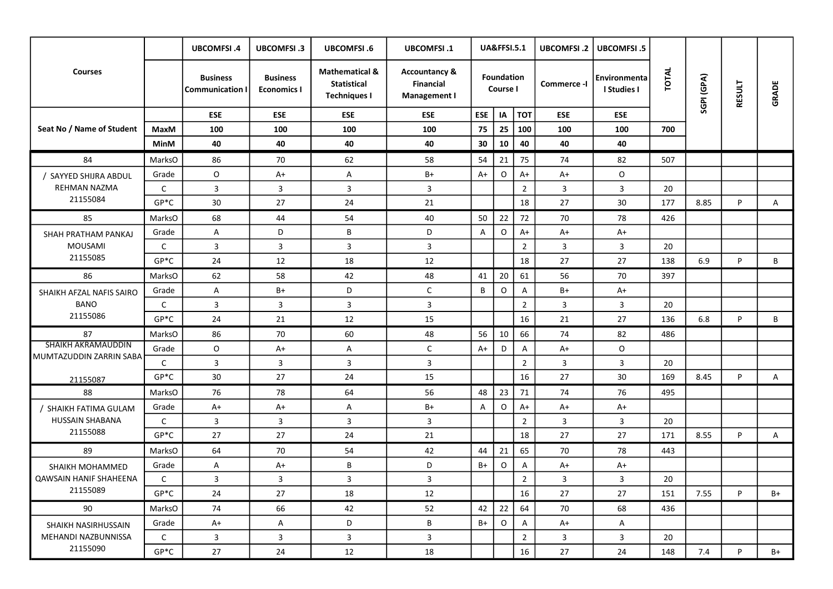|                                                        |                | <b>UBCOMFSI.4</b>                         | <b>UBCOMFSI.3</b>                     | <b>UBCOMFSI.6</b>                                                      | <b>UBCOMFSI.1</b>                                                   |            | <b>UA&amp;FFSI.5.1</b>        |                | <b>UBCOMFSI.2</b> | <b>UBCOMFSI.5</b>           |              |            |               |       |  |
|--------------------------------------------------------|----------------|-------------------------------------------|---------------------------------------|------------------------------------------------------------------------|---------------------------------------------------------------------|------------|-------------------------------|----------------|-------------------|-----------------------------|--------------|------------|---------------|-------|--|
| <b>Courses</b>                                         |                | <b>Business</b><br><b>Communication I</b> | <b>Business</b><br><b>Economics I</b> | <b>Mathematical &amp;</b><br><b>Statistical</b><br><b>Techniques I</b> | <b>Accountancy &amp;</b><br><b>Financial</b><br><b>Management I</b> |            | <b>Foundation</b><br>Course I |                | Commerce -I       | Environmenta<br>I Studies I | <b>TOTAL</b> | SGPI (GPA) | <b>RESULT</b> | GRADE |  |
|                                                        |                | <b>ESE</b>                                | <b>ESE</b>                            | <b>ESE</b>                                                             | <b>ESE</b>                                                          | <b>ESE</b> | IA                            | <b>TOT</b>     | <b>ESE</b>        | <b>ESE</b>                  |              |            |               |       |  |
| Seat No / Name of Student                              | MaxM           | 100                                       | 100                                   | 100                                                                    | 100                                                                 | 75         | 25                            | 100            | 100               | 100                         | 700          |            |               |       |  |
|                                                        | <b>MinM</b>    | 40                                        | 40                                    | 40                                                                     | 40                                                                  | 30         | 10                            | 40             | 40                | 40                          |              |            |               |       |  |
| 84                                                     | MarksO         | 86                                        | 70                                    | 62                                                                     | 58                                                                  | 54         | 21                            | 75             | 74                | 82                          | 507          |            |               |       |  |
| SAYYED SHIJRA ABDUL                                    | Grade          | $\circ$                                   | A+                                    | A                                                                      | B+                                                                  | $A+$       | O                             | A+             | $A+$              | $\circ$                     |              |            |               |       |  |
| REHMAN NAZMA                                           | $\mathsf{C}$   | $\mathbf{3}$                              | $\overline{3}$                        | 3                                                                      | $\mathbf{3}$                                                        |            |                               | $\overline{2}$ | $\overline{3}$    | $\overline{3}$              | 20           |            |               |       |  |
| 21155084                                               | $GP*C$         | 30                                        | 27                                    | 24                                                                     | 21                                                                  |            |                               | 18             | 27                | 30                          | 177          | 8.85       | P             | Α     |  |
| 85                                                     | MarksO         | 68                                        | 44                                    | 54                                                                     | 40                                                                  | 50         | 22                            | 72             | 70                | 78                          | 426          |            |               |       |  |
| SHAH PRATHAM PANKAJ                                    | Grade          | A                                         | D                                     | В                                                                      | D                                                                   | A          | $\circ$                       | $A+$           | $A+$              | $A+$                        |              |            |               |       |  |
| <b>MOUSAMI</b>                                         | $\mathsf{C}$   | $\mathbf{3}$                              | $\overline{3}$                        | 3                                                                      | 3                                                                   |            |                               | $\overline{2}$ | $\overline{3}$    | 3                           | 20           |            |               |       |  |
| 21155085                                               | $GP*C$         | 24                                        | 12                                    | 18                                                                     | 12                                                                  |            |                               | 18             | 27                | 27                          | 138          | 6.9        | P             | B     |  |
| 86                                                     | MarksO         | 62                                        | 58                                    | 42                                                                     | 48                                                                  | 41         | 20                            | 61             | 56                | 70                          | 397          |            |               |       |  |
| SHAIKH AFZAL NAFIS SAIRO                               | Grade          | A                                         | $B+$                                  | D                                                                      | C                                                                   | B          | $\circ$                       | A              | B+                | $A+$                        |              |            |               |       |  |
| <b>BANO</b>                                            | $\mathsf{C}$   | $\mathbf{3}$                              | $\overline{\mathbf{3}}$               | 3                                                                      | 3                                                                   |            |                               | $\overline{2}$ | $\mathbf{3}$      | 3                           | 20           |            |               |       |  |
| 21155086                                               | $GP*C$         | 24                                        | 21                                    | 12                                                                     | 15                                                                  |            |                               | 16             | 21                | 27                          | 136          | 6.8        | P             | B     |  |
| 87                                                     | MarksO         | 86                                        | 70                                    | 60                                                                     | 48                                                                  | 56         | 10                            | 66             | 74                | 82                          | 486          |            |               |       |  |
| SHAIKH AKRAMAUDDIN                                     | Grade          | $\circ$                                   | A+                                    | A                                                                      | $\mathsf{C}$                                                        | $A+$       | D                             | A              | $A+$              | $\circ$                     |              |            |               |       |  |
| MUMTAZUDDIN ZARRIN SABA                                | $\mathsf{C}$   | $\overline{3}$                            | 3                                     | 3                                                                      | 3                                                                   |            |                               | $\overline{2}$ | $\overline{3}$    | $\overline{3}$              | 20           |            |               |       |  |
| 21155087                                               | $GP*C$         | 30                                        | 27                                    | 24                                                                     | 15                                                                  |            |                               | 16             | 27                | 30                          | 169          | 8.45       | P             | Α     |  |
| 88                                                     | MarksO         | 76                                        | 78                                    | 64                                                                     | 56                                                                  | 48         | 23                            | 71             | 74                | 76                          | 495          |            |               |       |  |
| SHAIKH FATIMA GULAM                                    | Grade          | $A+$                                      | $A+$                                  | A                                                                      | $B+$                                                                | A          | $\circ$                       | $A+$           | A+                | $A+$                        |              |            |               |       |  |
| HUSSAIN SHABANA                                        | $\mathsf{C}$   | $\mathbf{3}$                              | $\overline{\mathbf{3}}$               | 3                                                                      | 3                                                                   |            |                               | $\overline{2}$ | $\overline{3}$    | 3                           | 20           |            |               |       |  |
| 21155088                                               | $GP*C$         | 27                                        | 27                                    | 24                                                                     | 21                                                                  |            |                               | 18             | 27                | 27                          | 171          | 8.55       | P             | Α     |  |
| 89                                                     | MarksO         | 64                                        | 70                                    | 54                                                                     | 42                                                                  | 44         | 21                            | 65             | 70                | 78                          | 443          |            |               |       |  |
| SHAIKH MOHAMMED                                        | Grade          | A                                         | A+                                    | В                                                                      | D                                                                   | B+         | O                             | A              | A+                | $A+$                        |              |            |               |       |  |
| QAWSAIN HANIF SHAHEENA                                 | $\mathsf{C}^-$ | $\overline{\mathbf{3}}$                   | $\mathsf 3$                           | 3                                                                      | $\mathbf{3}$                                                        |            |                               | $\overline{2}$ | $\mathbf{3}$      | 3                           | 20           |            |               |       |  |
| 21155089                                               | $GP*C$         | 24                                        | 27                                    | 18                                                                     | 12                                                                  |            |                               | 16             | 27                | 27                          | 151          | 7.55       | P             | B+    |  |
| 90                                                     | MarksO         | 74                                        | 66                                    | 42                                                                     | 52                                                                  | 42         | 22                            | 64             | 70                | 68                          | 436          |            |               |       |  |
| SHAIKH NASIRHUSSAIN<br>MEHANDI NAZBUNNISSA<br>21155090 | Grade          | $A+$                                      | $\overline{A}$                        | D                                                                      | B                                                                   | $B+$       | $\circ$                       | A              | $A+$              | A                           |              |            |               |       |  |
|                                                        | $\mathsf{C}$   | $\mathbf{3}$                              | $\overline{\mathbf{3}}$               | 3                                                                      | 3                                                                   |            |                               | $\overline{2}$ | $\mathbf{3}$      | $\overline{3}$              | 20           |            |               |       |  |
|                                                        | $GP*C$         | 27                                        | 24                                    | 12                                                                     | 18                                                                  |            |                               | 16             | 27                | 24                          | 148          | 7.4        | P             | $B+$  |  |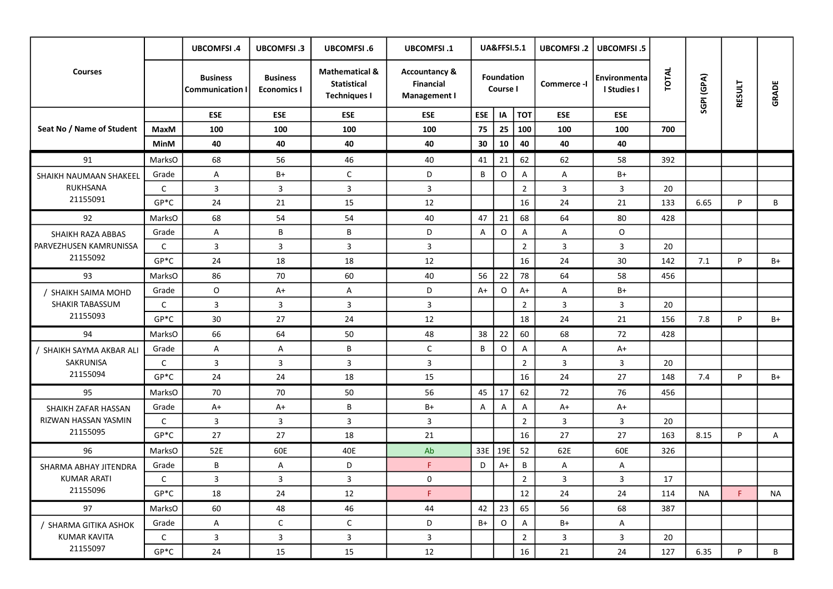|                                       |              | <b>UBCOMFSI.4</b>                         | <b>UBCOMFSI.3</b>                     | <b>UBCOMFSI.6</b>                                                      | <b>UBCOMFSI.1</b>                                                   |            | <b>UA&amp;FFSI.5.1</b>        |                | <b>UBCOMFSI.2</b> | <b>UBCOMFSI.5</b>           |              |            |               |           |  |
|---------------------------------------|--------------|-------------------------------------------|---------------------------------------|------------------------------------------------------------------------|---------------------------------------------------------------------|------------|-------------------------------|----------------|-------------------|-----------------------------|--------------|------------|---------------|-----------|--|
| <b>Courses</b>                        |              | <b>Business</b><br><b>Communication I</b> | <b>Business</b><br><b>Economics I</b> | <b>Mathematical &amp;</b><br><b>Statistical</b><br><b>Techniques I</b> | <b>Accountancy &amp;</b><br><b>Financial</b><br><b>Management I</b> |            | <b>Foundation</b><br>Course I |                | Commerce -I       | Environmenta<br>I Studies I | <b>TOTAL</b> | SGPI (GPA) | <b>RESULT</b> | GRADE     |  |
|                                       |              | <b>ESE</b>                                | <b>ESE</b>                            | <b>ESE</b>                                                             | <b>ESE</b>                                                          | <b>ESE</b> | IA                            | <b>TOT</b>     | <b>ESE</b>        | <b>ESE</b>                  |              |            |               |           |  |
| Seat No / Name of Student             | MaxM         | 100                                       | 100                                   | 100                                                                    | 100                                                                 | 75         | 25                            | 100            | 100               | 100                         | 700          |            |               |           |  |
|                                       | <b>MinM</b>  | 40                                        | 40                                    | 40                                                                     | 40                                                                  | 30         | 10                            | 40             | 40                | 40                          |              |            |               |           |  |
| 91                                    | MarksO       | 68                                        | 56                                    | 46                                                                     | 40                                                                  | 41         | 21                            | 62             | 62                | 58                          | 392          |            |               |           |  |
| SHAIKH NAUMAAN SHAKEEL<br>RUKHSANA    | Grade        | A                                         | B+                                    | $\mathsf C$                                                            | D                                                                   | B          | O                             | A              | A                 | $B+$                        |              |            |               |           |  |
|                                       | $\mathsf{C}$ | $\mathsf{3}$                              | $\overline{3}$                        | 3                                                                      | 3                                                                   |            |                               | $\overline{2}$ | $\overline{3}$    | $\overline{3}$              | 20           |            |               |           |  |
| 21155091                              | $GP*C$       | 24                                        | 21                                    | 15                                                                     | 12                                                                  |            |                               | 16             | 24                | 21                          | 133          | 6.65       | P             | B         |  |
| 92                                    | MarksO       | 68                                        | 54                                    | 54                                                                     | 40                                                                  | 47         | 21                            | 68             | 64                | 80                          | 428          |            |               |           |  |
| SHAIKH RAZA ABBAS                     | Grade        | A                                         | В                                     | В                                                                      | D                                                                   | A          | $\mathsf{O}$                  | Α              | A                 | $\circ$                     |              |            |               |           |  |
| <b>PARVEZHUSEN KAMRUNISSA</b>         | $\mathsf{C}$ | $\mathsf{3}$                              | $\overline{3}$                        | 3                                                                      | 3                                                                   |            |                               | $\overline{2}$ | $\overline{3}$    | 3                           | 20           |            |               |           |  |
| 21155092                              | $GP*C$       | 24                                        | 18                                    | 18                                                                     | 12                                                                  |            |                               | 16             | 24                | 30                          | 142          | 7.1        | P             | $B+$      |  |
| 93                                    | MarksO       | 86                                        | 70                                    | 60                                                                     | 40                                                                  | 56         | 22                            | 78             | 64                | 58                          | 456          |            |               |           |  |
| SHAIKH SAIMA MOHD                     | Grade        | $\circ$                                   | A+                                    | A                                                                      | D                                                                   | $A+$       | $\circ$                       | $A+$           | A                 | $B+$                        |              |            |               |           |  |
| SHAKIR TABASSUM                       | $\mathsf{C}$ | $\mathbf{3}$                              | $\overline{3}$                        | 3                                                                      | 3                                                                   |            |                               | $\overline{2}$ | $\overline{3}$    | 3                           | 20           |            |               |           |  |
| 21155093                              | $GP*C$       | 30                                        | 27                                    | 24                                                                     | 12                                                                  |            |                               | 18             | 24                | 21                          | 156          | 7.8        | P             | $B+$      |  |
| 94                                    | MarksO       | 66                                        | 64                                    | 50                                                                     | 48                                                                  | 38         | 22                            | 60             | 68                | 72                          | 428          |            |               |           |  |
| 'SHAIKH SAYMA AKBAR ALI               | Grade        | A                                         | A                                     | В                                                                      | $\mathsf{C}$                                                        | B          | $\circ$                       | A              | A                 | $A+$                        |              |            |               |           |  |
| SAKRUNISA                             | $\mathsf{C}$ | $\mathbf{3}$                              | 3                                     | 3                                                                      | 3                                                                   |            |                               | $\overline{2}$ | $\overline{3}$    | $\overline{3}$              | 20           |            |               |           |  |
| 21155094                              | $GP*C$       | 24                                        | 24                                    | 18                                                                     | 15                                                                  |            |                               | 16             | 24                | 27                          | 148          | 7.4        | P             | $B+$      |  |
| 95                                    | MarksO       | 70                                        | 70                                    | 50                                                                     | 56                                                                  | 45         | 17                            | 62             | 72                | 76                          | 456          |            |               |           |  |
| SHAIKH ZAFAR HASSAN                   | Grade        | $A+$                                      | $A+$                                  | В                                                                      | $B+$                                                                | A          | A                             | A              | $A+$              | $A+$                        |              |            |               |           |  |
| RIZWAN HASSAN YASMIN                  | $\mathsf{C}$ | $\mathsf{3}$                              | $\overline{\mathbf{3}}$               | 3                                                                      | 3                                                                   |            |                               | $\overline{2}$ | $\overline{3}$    | 3                           | 20           |            |               |           |  |
| 21155095                              | $GP*C$       | 27                                        | 27                                    | 18                                                                     | 21                                                                  |            |                               | 16             | 27                | 27                          | 163          | 8.15       | P             | Α         |  |
| 96                                    | MarksO       | 52E                                       | 60E                                   | 40E                                                                    | Ab                                                                  | 33E        | 19E                           | 52             | 62E               | 60E                         | 326          |            |               |           |  |
| SHARMA ABHAY JITENDRA                 | Grade        | B                                         | A                                     | D                                                                      | F.                                                                  | D          | A+                            | B              | A                 | A                           |              |            |               |           |  |
| <b>KUMAR ARATI</b>                    | $\mathsf{C}$ | $\overline{\mathbf{3}}$                   | $\mathsf 3$                           | $\mathsf 3$                                                            | $\mathbf{0}$                                                        |            |                               | $\overline{2}$ | $\mathbf{3}$      | $\mathbf{3}$                | 17           |            |               |           |  |
| 21155096                              | $GP*C$       | 18                                        | 24                                    | 12                                                                     | F.                                                                  |            |                               | 12             | 24                | 24                          | 114          | NA         | F.            | <b>NA</b> |  |
| 97                                    | MarksO       | 60                                        | 48                                    | 46                                                                     | 44                                                                  | 42         | 23                            | 65             | 56                | 68                          | 387          |            |               |           |  |
| / SHARMA GITIKA ASHOK<br>KUMAR KAVITA | Grade        | $\mathsf{A}$                              | $\mathsf{C}$                          | $\mathsf C$                                                            | D                                                                   | $B+$       | $\circ$                       | A              | B+                | A                           |              |            |               |           |  |
|                                       | $\mathsf{C}$ | $\mathbf{3}$                              | $\overline{\mathbf{3}}$               | $\mathbf{3}$                                                           | $\mathbf{3}$                                                        |            |                               | $\overline{2}$ | $\mathbf{3}$      | $\overline{3}$              | 20           |            |               |           |  |
| 21155097                              | $GP*C$       | 24                                        | 15                                    | 15                                                                     | 12                                                                  |            |                               | 16             | 21                | 24                          | 127          | 6.35       | P             | B         |  |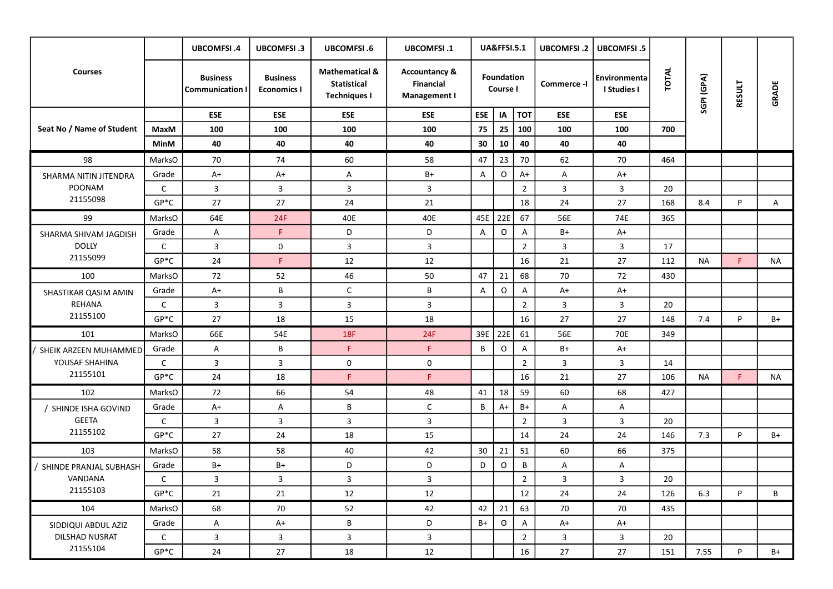|                                                   |               | <b>UBCOMFSI.4</b>                         | <b>UBCOMFSI.3</b>                     | <b>UBCOMFSI.6</b>                                                      | <b>UBCOMFSI.1</b>                                                   |                               | <b>UA&amp;FFSI.5.1</b> |                | <b>UBCOMFSI.2</b> | <b>UBCOMFSI.5</b>           |              |            |               |           |  |
|---------------------------------------------------|---------------|-------------------------------------------|---------------------------------------|------------------------------------------------------------------------|---------------------------------------------------------------------|-------------------------------|------------------------|----------------|-------------------|-----------------------------|--------------|------------|---------------|-----------|--|
| <b>Courses</b>                                    |               | <b>Business</b><br><b>Communication I</b> | <b>Business</b><br><b>Economics I</b> | <b>Mathematical &amp;</b><br><b>Statistical</b><br><b>Techniques I</b> | <b>Accountancy &amp;</b><br><b>Financial</b><br><b>Management I</b> | <b>Foundation</b><br>Course I |                        |                | Commerce -I       | Environmenta<br>I Studies I | <b>TOTAL</b> | SGPI (GPA) | <b>RESULT</b> | GRADE     |  |
|                                                   |               | <b>ESE</b>                                | <b>ESE</b>                            | <b>ESE</b>                                                             | <b>ESE</b>                                                          | <b>ESE</b>                    | IA                     | <b>TOT</b>     | ESE               | <b>ESE</b>                  |              |            |               |           |  |
| Seat No / Name of Student                         | <b>MaxM</b>   | 100                                       | 100                                   | 100                                                                    | 100                                                                 | 75                            | 25                     | 100            | 100               | 100                         | 700          |            |               |           |  |
|                                                   | MinM          | 40                                        | 40                                    | 40                                                                     | 40                                                                  | 30                            | 10                     | 40             | 40                | 40                          |              |            |               |           |  |
| 98                                                | MarksO        | 70                                        | 74                                    | 60                                                                     | 58                                                                  | 47                            | 23                     | 70             | 62                | 70                          | 464          |            |               |           |  |
| SHARMA NITIN JITENDRA                             | Grade         | $A+$                                      | $A+$                                  | A                                                                      | B+                                                                  | A                             | $\circ$                | $A+$           | A                 | $A+$                        |              |            |               |           |  |
| POONAM                                            | $\mathsf{C}$  | $\overline{3}$                            | 3                                     | $\mathsf{3}$                                                           | $\mathbf{3}$                                                        |                               |                        | $\overline{2}$ | $\mathbf{3}$      | $\mathbf{3}$                | 20           |            |               |           |  |
| 21155098                                          | $GP*C$        | 27                                        | 27                                    | 24                                                                     | 21                                                                  |                               |                        | 18             | 24                | 27                          | 168          | 8.4        | P             | A         |  |
| 99                                                | <b>MarksO</b> | 64E                                       | 24F                                   | 40E                                                                    | 40E                                                                 | 45E                           | 22E                    | 67             | 56E               | 74E                         | 365          |            |               |           |  |
| SHARMA SHIVAM JAGDISH                             | Grade         | A                                         | F.                                    | D                                                                      | D                                                                   | A                             | $\mathsf O$            | A              | $B+$              | $A+$                        |              |            |               |           |  |
| <b>DOLLY</b>                                      | $\mathsf{C}$  | $\overline{3}$                            | 0                                     | $\mathbf{3}$                                                           | 3                                                                   |                               |                        | $\overline{2}$ | $\mathbf{3}$      | $\mathbf{3}$                | 17           |            |               |           |  |
| 21155099                                          | $GP*C$        | 24                                        | F.                                    | 12                                                                     | 12                                                                  |                               |                        | 16             | 21                | 27                          | 112          | <b>NA</b>  | F             | <b>NA</b> |  |
| 100                                               | MarksO        | 72                                        | 52                                    | 46                                                                     | 50                                                                  | 47                            | 21                     | 68             | 70                | 72                          | 430          |            |               |           |  |
| SHASTIKAR QASIM AMIN                              | Grade         | $A+$                                      | В                                     | $\mathsf{C}$                                                           | B                                                                   | A                             | $\mathsf O$            | A              | $A+$              | $A+$                        |              |            |               |           |  |
| REHANA                                            | $\mathsf{C}$  | $\overline{3}$                            | 3                                     | $\mathbf{3}$                                                           | 3                                                                   |                               |                        | $\overline{2}$ | $\overline{3}$    | $\overline{3}$              | 20           |            |               |           |  |
| 21155100                                          | $GP*C$        | 27                                        | 18                                    | 15                                                                     | 18                                                                  |                               |                        | 16             | 27                | 27                          | 148          | 7.4        | <b>P</b>      | $B+$      |  |
| 101                                               | MarksO        | 66E                                       | 54E                                   | <b>18F</b>                                                             | 24F                                                                 | 39E                           | 22E                    | 61             | 56E               | 70E                         | 349          |            |               |           |  |
| / SHEIK ARZEEN MUHAMMED                           | Grade         | $\mathsf{A}$                              | В                                     | F.                                                                     | F.                                                                  | B                             | $\mathsf O$            | A              | B+                | $A+$                        |              |            |               |           |  |
| YOUSAF SHAHINA                                    | $\mathsf{C}$  | $\overline{3}$                            | $\overline{3}$                        | $\mathsf 0$                                                            | 0                                                                   |                               |                        | $\overline{2}$ | $\mathbf{3}$      | $\mathbf{3}$                | 14           |            |               |           |  |
| 21155101                                          | $GP*C$        | 24                                        | 18                                    | F.                                                                     | F.                                                                  |                               |                        | 16             | 21                | 27                          | 106          | <b>NA</b>  | F.            | <b>NA</b> |  |
| 102                                               | MarksO        | 72                                        | 66                                    | 54                                                                     | 48                                                                  | 41                            | 18                     | 59             | 60                | 68                          | 427          |            |               |           |  |
| SHINDE ISHA GOVIND                                | Grade         | $A+$                                      | A                                     | B                                                                      | C                                                                   | B                             | A+                     | $B+$           | $\mathsf{A}$      | $\mathsf{A}$                |              |            |               |           |  |
| <b>GEETA</b>                                      | $\mathsf{C}$  | 3                                         | 3                                     | $\mathbf{3}$                                                           | 3                                                                   |                               |                        | $\overline{2}$ | $\mathbf{3}$      | $\overline{3}$              | 20           |            |               |           |  |
| 21155102                                          | $GP*C$        | 27                                        | 24                                    | 18                                                                     | 15                                                                  |                               |                        | 14             | 24                | 24                          | 146          | 7.3        | P             | B+        |  |
| 103                                               | MarksO        | 58                                        | 58                                    | 40                                                                     | 42                                                                  | 30                            | 21                     | 51             | 60                | 66                          | 375          |            |               |           |  |
| SHINDE PRANJAL SUBHASH                            | Grade         | $B+$                                      | $B+$                                  | D                                                                      | D                                                                   | D                             | O                      | B              | A                 | A                           |              |            |               |           |  |
| VANDANA                                           | $\mathsf{C}$  | 3                                         | 3                                     | $\mathbf{3}$                                                           | 3                                                                   |                               |                        | $\overline{2}$ | $\overline{3}$    | $\mathbf{3}$                | 20           |            |               |           |  |
| 21155103                                          | $GP*C$        | 21                                        | 21                                    | 12                                                                     | 12                                                                  |                               |                        | 12             | 24                | 24                          | 126          | 6.3        | P             | B         |  |
| 104                                               | MarksO        | 68                                        | 70                                    | 52                                                                     | 42                                                                  | 42                            | 21                     | 63             | 70                | 70                          | 435          |            |               |           |  |
| SIDDIQUI ABDUL AZIZ<br>DILSHAD NUSRAT<br>21155104 | Grade         | $\boldsymbol{\mathsf{A}}$                 | $A+$                                  | $\, {\bf B} \,$                                                        | D                                                                   | $B+$                          | $\circ$                | $\mathsf A$    | $A+$              | $A+$                        |              |            |               |           |  |
|                                                   | $\mathsf{C}$  | 3                                         | $\mathbf{3}$                          | $\overline{3}$                                                         | $\mathbf{3}$                                                        |                               |                        | $\overline{2}$ | $\mathbf{3}$      | $\mathbf{3}$                | 20           |            |               |           |  |
|                                                   | $GP*C$        | 24                                        | 27                                    | 18                                                                     | 12                                                                  |                               |                        | 16             | 27                | 27                          | 151          | 7.55       | P             | $B+$      |  |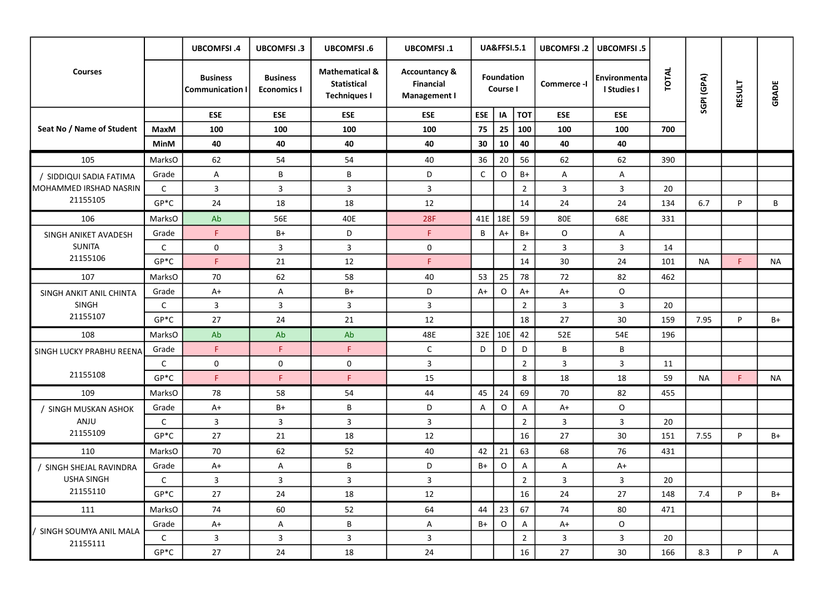|                                                   |              | <b>UBCOMFSI.4</b>                       | <b>UBCOMFSI.3</b>                     | <b>UBCOMFSI.6</b>                                                      | <b>UBCOMFSI.1</b>                                                   |              | <b>UA&amp;FFSI.5.1</b>        |                | <b>UBCOMFSI.2</b> | <b>UBCOMFSI.5</b>           |       |            |               |              |  |
|---------------------------------------------------|--------------|-----------------------------------------|---------------------------------------|------------------------------------------------------------------------|---------------------------------------------------------------------|--------------|-------------------------------|----------------|-------------------|-----------------------------|-------|------------|---------------|--------------|--|
| <b>Courses</b>                                    |              | <b>Business</b><br><b>Communication</b> | <b>Business</b><br><b>Economics I</b> | <b>Mathematical &amp;</b><br><b>Statistical</b><br><b>Techniques I</b> | <b>Accountancy &amp;</b><br><b>Financial</b><br><b>Management I</b> |              | <b>Foundation</b><br>Course I |                | Commerce -I       | Environmenta<br>I Studies I | TOTAL | SGPI (GPA) | <b>RESULT</b> | GRADE        |  |
|                                                   |              | <b>ESE</b>                              | <b>ESE</b>                            | <b>ESE</b>                                                             | <b>ESE</b>                                                          | <b>ESE</b>   | IA                            | <b>TOT</b>     | ESE               | ESE                         |       |            |               |              |  |
| Seat No / Name of Student                         | MaxM         | 100                                     | 100                                   | 100                                                                    | 100                                                                 | 75           | 25                            | 100            | 100               | 100                         | 700   |            |               |              |  |
|                                                   | <b>MinM</b>  | 40                                      | 40                                    | 40                                                                     | 40                                                                  | 30           | 10                            | 40             | 40                | 40                          |       |            |               |              |  |
| 105                                               | MarksO       | 62                                      | 54                                    | 54                                                                     | 40                                                                  | 36           | 20                            | 56             | 62                | 62                          | 390   |            |               |              |  |
| / SIDDIQUI SADIA FATIMA<br>MOHAMMED IRSHAD NASRIN | Grade        | A                                       | B                                     | В                                                                      | D                                                                   | $\mathsf{C}$ | 0                             | $B+$           | A                 | A                           |       |            |               |              |  |
|                                                   | $\mathsf{C}$ | $\overline{3}$                          | 3                                     | 3                                                                      | $\mathbf{3}$                                                        |              |                               | $\overline{2}$ | $\mathbf{3}$      | $\mathbf{3}$                | 20    |            |               |              |  |
| 21155105                                          | $GP*C$       | 24                                      | 18                                    | 18                                                                     | 12                                                                  |              |                               | 14             | 24                | 24                          | 134   | 6.7        | P             | B            |  |
| 106                                               | MarksO       | Ab                                      | 56E                                   | 40E                                                                    | 28F                                                                 | 41E          | 18E                           | 59             | 80E               | 68E                         | 331   |            |               |              |  |
| SINGH ANIKET AVADESH                              | Grade        | F.                                      | $B+$                                  | D                                                                      | F.                                                                  | B            | $A+$                          | $B+$           | $\mathsf O$       | Α                           |       |            |               |              |  |
| <b>SUNITA</b>                                     | $\mathsf{C}$ | $\mathsf{O}$                            | $\overline{3}$                        | 3                                                                      | 0                                                                   |              |                               | $\overline{2}$ | $\mathbf{3}$      | $\overline{3}$              | 14    |            |               |              |  |
| 21155106                                          | $GP*C$       | F.                                      | 21                                    | 12                                                                     | F.                                                                  |              |                               | 14             | 30                | 24                          | 101   | <b>NA</b>  | F             | <b>NA</b>    |  |
| 107                                               | MarksO       | 70                                      | 62                                    | 58                                                                     | 40                                                                  | 53           | 25                            | 78             | 72                | 82                          | 462   |            |               |              |  |
| SINGH ANKIT ANIL CHINTA                           | Grade        | $A+$                                    | A                                     | $B+$                                                                   | D                                                                   | $A+$         | $\circ$                       | $A+$           | $A+$              | $\circ$                     |       |            |               |              |  |
| <b>SINGH</b>                                      | $\mathsf{C}$ | $\mathbf{3}$                            | 3                                     | $\mathbf{3}$                                                           | 3                                                                   |              |                               | $\overline{2}$ | $\mathbf{3}$      | 3                           | 20    |            |               |              |  |
| 21155107                                          | $GP*C$       | 27                                      | 24                                    | 21                                                                     | 12                                                                  |              |                               | 18             | 27                | 30                          | 159   | 7.95       | P             | B+           |  |
| 108                                               | MarksO       | Ab                                      | Ab                                    | Ab                                                                     | 48E                                                                 | 32E          | 10E                           | 42             | 52E               | 54E                         | 196   |            |               |              |  |
| SINGH LUCKY PRABHU REENA                          | Grade        | F.                                      | F                                     | F.                                                                     | C                                                                   | D            | D                             | D              | B                 | B                           |       |            |               |              |  |
|                                                   | $\mathsf{C}$ | $\mathsf 0$                             | $\mathbf 0$                           | 0                                                                      | 3                                                                   |              |                               | $\overline{2}$ | $\overline{3}$    | $\overline{3}$              | 11    |            |               |              |  |
| 21155108                                          | $GP*C$       | F.                                      | F.                                    | F.                                                                     | 15                                                                  |              |                               | 8              | 18                | 18                          | 59    | <b>NA</b>  | F             | NA           |  |
| 109                                               | MarksO       | 78                                      | 58                                    | 54                                                                     | 44                                                                  | 45           | 24                            | 69             | 70                | 82                          | 455   |            |               |              |  |
| SINGH MUSKAN ASHOK                                | Grade        | $A+$                                    | B+                                    | B                                                                      | D                                                                   | A            | $\circ$                       | A              | $A+$              | $\circ$                     |       |            |               |              |  |
| ANJU                                              | $\mathsf{C}$ | $\mathbf{3}$                            | $\overline{3}$                        | 3                                                                      | 3                                                                   |              |                               | $\overline{2}$ | $\overline{3}$    | $\overline{3}$              | 20    |            |               |              |  |
| 21155109                                          | $GP*C$       | 27                                      | 21                                    | 18                                                                     | 12                                                                  |              |                               | 16             | 27                | 30                          | 151   | 7.55       | P             | B+           |  |
| 110                                               | MarksO       | 70                                      | 62                                    | 52                                                                     | 40                                                                  | 42           | 21                            | 63             | 68                | 76                          | 431   |            |               |              |  |
| SINGH SHEJAL RAVINDRA                             | Grade        | $A+$                                    | A                                     | В                                                                      | D                                                                   | B+           | O                             | $\mathsf{A}$   | A                 | $A+$                        |       |            |               |              |  |
| <b>USHA SINGH</b>                                 | $\mathsf{C}$ | $\mathbf{3}$                            | $\overline{3}$                        | $\overline{3}$                                                         | $\mathbf{3}$                                                        |              |                               | $\overline{2}$ | $\mathbf{3}$      | $\mathbf{3}$                | 20    |            |               |              |  |
| 21155110                                          | $GP*C$       | 27                                      | 24                                    | 18                                                                     | 12                                                                  |              |                               | 16             | 24                | 27                          | 148   | 7.4        | P             | $B+$         |  |
| 111                                               | MarksO       | 74                                      | 60                                    | 52                                                                     | 64                                                                  | 44           | 23                            | 67             | 74                | 80                          | 471   |            |               |              |  |
| SINGH SOUMYA ANIL MALA<br>21155111                | Grade        | $A+$                                    | $\mathsf{A}$                          | $\mathsf B$                                                            | $\mathsf{A}$                                                        | $B+$         | $\circ$                       | A              | $A+$              | $\mathsf O$                 |       |            |               |              |  |
|                                                   | $\mathsf{C}$ | $\mathbf{3}$                            | $\overline{3}$                        | $\mathbf{3}$                                                           | $\mathbf{3}$                                                        |              |                               | $\overline{2}$ | $\mathbf{3}$      | $\mathbf{3}$                | 20    |            |               |              |  |
|                                                   | $GP*C$       | 27                                      | 24                                    | 18                                                                     | 24                                                                  |              |                               | 16             | 27                | 30                          | 166   | 8.3        | P             | $\mathsf{A}$ |  |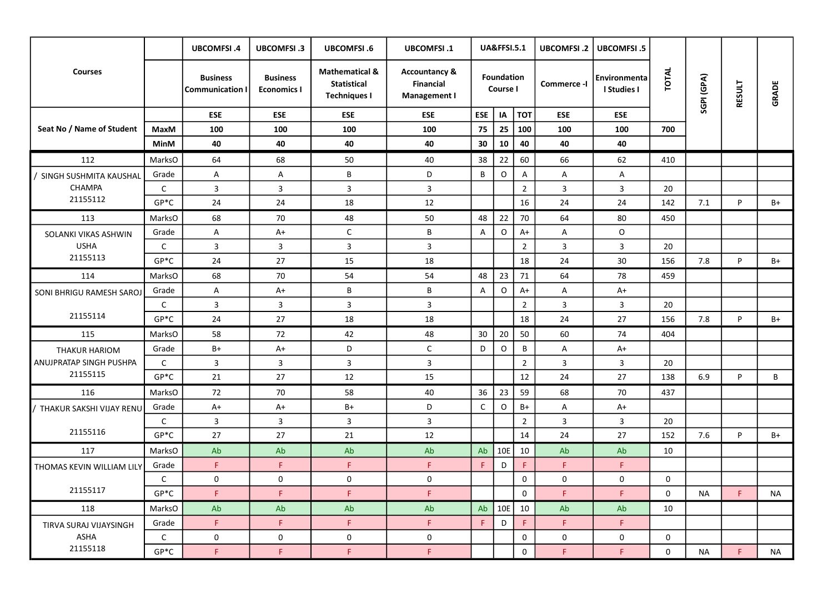|                            |                | <b>UBCOMFSI.4</b>                         | <b>UBCOMFSI.3</b>                     | <b>UBCOMFSI.6</b>                                                      | <b>UBCOMFSI.1</b>                                                   |                           |             | <b>UA&amp;FFSI.5.1</b> | <b>UBCOMFSI.2</b>         | <b>UBCOMFSI.5</b>           |              |            |               |           |  |
|----------------------------|----------------|-------------------------------------------|---------------------------------------|------------------------------------------------------------------------|---------------------------------------------------------------------|---------------------------|-------------|------------------------|---------------------------|-----------------------------|--------------|------------|---------------|-----------|--|
| <b>Courses</b>             |                | <b>Business</b><br><b>Communication I</b> | <b>Business</b><br><b>Economics I</b> | <b>Mathematical &amp;</b><br><b>Statistical</b><br><b>Techniques I</b> | <b>Accountancy &amp;</b><br><b>Financial</b><br><b>Management I</b> | Foundation<br>Course I    |             |                        | Commerce -I               | Environmenta<br>I Studies I | <b>TOTAL</b> | SGPI (GPA) | <b>RESULT</b> | GRADE     |  |
|                            |                | <b>ESE</b>                                | <b>ESE</b>                            | <b>ESE</b>                                                             | <b>ESE</b>                                                          | <b>ESE</b>                | IA          | <b>TOT</b>             | <b>ESE</b>                | <b>ESE</b>                  |              |            |               |           |  |
| Seat No / Name of Student  | <b>MaxM</b>    | 100                                       | 100                                   | 100                                                                    | 100                                                                 | 75                        | 25          | 100                    | 100                       | 100                         | 700          |            |               |           |  |
|                            | MinM           | 40                                        | 40                                    | 40                                                                     | 40                                                                  | 30                        | ${\bf 10}$  | 40                     | 40                        | 40                          |              |            |               |           |  |
| 112                        | MarksO         | 64                                        | 68                                    | 50                                                                     | 40                                                                  | 38                        | 22          | 60                     | 66                        | 62                          | 410          |            |               |           |  |
| / SINGH SUSHMITA KAUSHAL   | Grade          | $\boldsymbol{\mathsf{A}}$                 | A                                     | B                                                                      | D                                                                   | B                         | O           | Α                      | A                         | A                           |              |            |               |           |  |
| <b>CHAMPA</b>              | $\mathsf{C}$   | $\overline{3}$                            | 3                                     | $\mathbf{3}$                                                           | 3                                                                   |                           |             | $\overline{2}$         | $\mathbf{3}$              | $\mathbf{3}$                | 20           |            |               |           |  |
| 21155112                   | $GP*C$         | 24                                        | 24                                    | 18                                                                     | 12                                                                  |                           |             | 16                     | 24                        | 24                          | 142          | 7.1        | P             | $B+$      |  |
| 113                        | MarksO         | 68                                        | 70                                    | 48                                                                     | 50                                                                  | 48                        | 22          | 70                     | 64                        | 80                          | 450          |            |               |           |  |
| SOLANKI VIKAS ASHWIN       | Grade          | A                                         | $A+$                                  | $\mathsf C$                                                            | B                                                                   | $\boldsymbol{\mathsf{A}}$ | $\mathsf O$ | $A+$                   | $\boldsymbol{\mathsf{A}}$ | O                           |              |            |               |           |  |
| <b>USHA</b>                | $\mathsf{C}$   | $\overline{3}$                            | 3                                     | $\mathbf{3}$                                                           | 3                                                                   |                           |             | $\overline{2}$         | $\mathbf{3}$              | $\overline{3}$              | 20           |            |               |           |  |
| 21155113                   | $GP*C$         | 24                                        | 27                                    | 15                                                                     | 18                                                                  |                           |             | 18                     | 24                        | 30                          | 156          | 7.8        | P             | B+        |  |
| 114                        | MarksO         | 68                                        | 70                                    | 54                                                                     | 54                                                                  | 48                        | 23          | 71                     | 64                        | 78                          | 459          |            |               |           |  |
| SONI BHRIGU RAMESH SAROJ   | Grade          | $\mathsf{A}$                              | $A+$                                  | B                                                                      | B                                                                   | A                         | $\mathsf O$ | $A+$                   | A                         | $A+$                        |              |            |               |           |  |
|                            | $\mathsf{C}$   | $\overline{3}$                            | 3                                     | $\mathbf{3}$                                                           | $\mathbf{3}$                                                        |                           |             | $\overline{2}$         | $\overline{3}$            | $\mathbf{3}$                | 20           |            |               |           |  |
| 21155114                   | $GP*C$         | 24                                        | 27                                    | 18                                                                     | 18                                                                  |                           |             | 18                     | 24                        | 27                          | 156          | 7.8        | <b>P</b>      | B+        |  |
| 115                        | MarksO         | 58                                        | 72                                    | 42                                                                     | 48                                                                  | 30                        | $20\,$      | 50                     | 60                        | 74                          | 404          |            |               |           |  |
| <b>THAKUR HARIOM</b>       | Grade          | $B+$                                      | $A+$                                  | D                                                                      | $\mathsf C$                                                         | D                         | $\mathsf O$ | $\, {\bf B} \,$        | A                         | $A+$                        |              |            |               |           |  |
| ANUJPRATAP SINGH PUSHPA    | $\mathsf{C}$   | $\overline{3}$                            | $\overline{3}$                        | $\overline{3}$                                                         | 3                                                                   |                           |             | $\overline{2}$         | $\overline{3}$            | $\mathbf{3}$                | 20           |            |               |           |  |
| 21155115                   | $GP*C$         | 21                                        | 27                                    | 12                                                                     | 15                                                                  |                           |             | 12                     | 24                        | 27                          | 138          | 6.9        | <b>P</b>      | B         |  |
| 116                        | MarksO         | 72                                        | 70                                    | 58                                                                     | 40                                                                  | 36                        | 23          | 59                     | 68                        | 70                          | 437          |            |               |           |  |
| / THAKUR SAKSHI VIJAY RENU | Grade          | $A+$                                      | $A+$                                  | $B+$                                                                   | D                                                                   | $\mathsf{C}$              | O           | $B+$                   | A                         | $A+$                        |              |            |               |           |  |
|                            | $\mathsf{C}$   | $\overline{3}$                            | 3                                     | $\mathbf{3}$                                                           | 3                                                                   |                           |             | $\overline{2}$         | $\mathbf{3}$              | $\overline{3}$              | 20           |            |               |           |  |
| 21155116                   | $GP*C$         | 27                                        | 27                                    | 21                                                                     | 12                                                                  |                           |             | 14                     | 24                        | 27                          | 152          | 7.6        | P             | B+        |  |
| 117                        | MarksO         | Ab                                        | Ab                                    | Ab                                                                     | Ab                                                                  | Ab                        | 10E         | 10                     | Ab                        | Ab                          | 10           |            |               |           |  |
| THOMAS KEVIN WILLIAM LILY  | Grade          | F.                                        | F.                                    | F                                                                      | F.                                                                  | F.                        | D           | F.                     | F.                        | F.                          |              |            |               |           |  |
|                            | $\mathsf{C}^-$ | $\mathbf 0$                               | $\mathbf 0$                           | $\mathbf 0$                                                            | 0                                                                   |                           |             | $\mathsf{O}$           | $\mathsf 0$               | $\mathbf{0}$                | $\mathbf 0$  |            |               |           |  |
| 21155117                   | $GP*C$         | F.                                        | F.                                    | F.                                                                     | F.                                                                  |                           |             | $\mathbf 0$            | F.                        | F.                          | $\mathbf{0}$ | <b>NA</b>  | F.            | <b>NA</b> |  |
| 118                        | MarksO         | Ab                                        | Ab                                    | Ab                                                                     | Ab                                                                  | Ab                        | 10E         | 10                     | Ab                        | Ab                          | 10           |            |               |           |  |
| TIRVA SURAJ VIJAYSINGH     | Grade          | F.                                        | F.                                    | F.                                                                     | F.                                                                  | F                         | D           | F                      | F.                        | F.                          |              |            |               |           |  |
| ASHA<br>21155118           | $\mathsf{C}$   | $\mathbf 0$                               | $\mathbf 0$                           | $\mathsf{O}\xspace$                                                    | 0                                                                   |                           |             | $\mathsf{O}$           | $\mathsf 0$               | $\mathbf 0$                 | $\mathbf 0$  |            |               |           |  |
|                            | $GP*C$         | F.                                        | F.                                    | F.                                                                     | F.                                                                  |                           |             | $\mathbf 0$            | F                         | F.                          | $\mathbf 0$  | <b>NA</b>  | F.            | <b>NA</b> |  |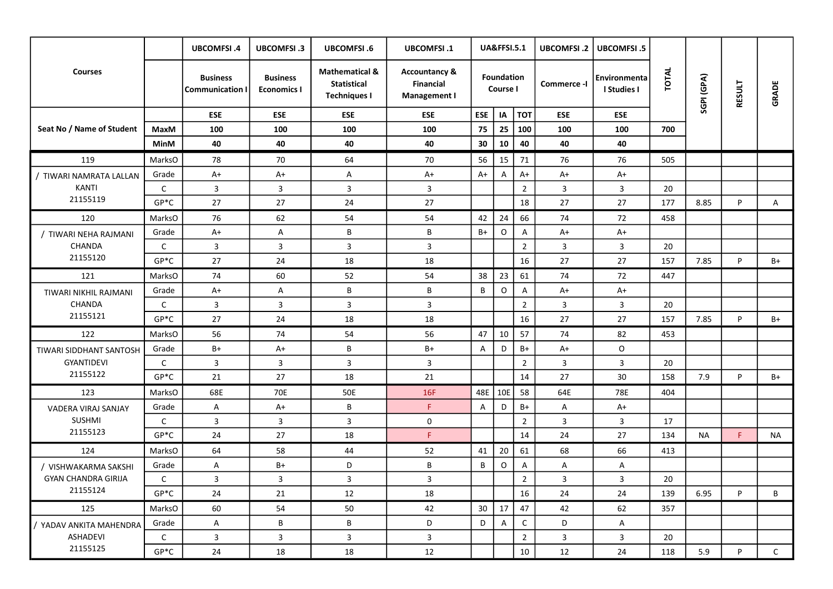|                                                 |              | <b>UBCOMFSI.4</b>                       | <b>UBCOMFSI.3</b>                     | <b>UBCOMFSI.6</b>                                                                                                                             | <b>UBCOMFSI.1</b> |                               | <b>UA&amp;FFSI.5.1</b> |                | <b>UBCOMFSI.2</b> | <b>UBCOMFSI.5</b>           |       |            |               |              |  |
|-------------------------------------------------|--------------|-----------------------------------------|---------------------------------------|-----------------------------------------------------------------------------------------------------------------------------------------------|-------------------|-------------------------------|------------------------|----------------|-------------------|-----------------------------|-------|------------|---------------|--------------|--|
| <b>Courses</b>                                  |              | <b>Business</b><br><b>Communication</b> | <b>Business</b><br><b>Economics I</b> | <b>Mathematical &amp;</b><br><b>Accountancy &amp;</b><br><b>Statistical</b><br><b>Financial</b><br><b>Techniques I</b><br><b>Management I</b> |                   | <b>Foundation</b><br>Course I |                        |                | Commerce -I       | Environmenta<br>I Studies I | TOTAL | SGPI (GPA) | <b>RESULT</b> | GRADE        |  |
|                                                 |              | <b>ESE</b>                              | <b>ESE</b>                            | <b>ESE</b>                                                                                                                                    | <b>ESE</b>        | <b>ESE</b>                    | IA                     | <b>TOT</b>     | ESE               | ESE                         |       |            |               |              |  |
| Seat No / Name of Student                       | MaxM         | 100                                     | 100                                   | 100                                                                                                                                           | 100               | 75                            | 25                     | 100            | 100               | 100                         | 700   |            |               |              |  |
|                                                 | <b>MinM</b>  | 40                                      | 40                                    | 40                                                                                                                                            | 40                | 30                            | 10                     | 40             | 40                | 40                          |       |            |               |              |  |
| 119                                             | MarksO       | 78                                      | 70                                    | 64                                                                                                                                            | 70                | 56                            | 15                     | 71             | 76                | 76                          | 505   |            |               |              |  |
| / TIWARI NAMRATA LALLAN<br><b>KANTI</b>         | Grade        | $A+$                                    | $A+$                                  | A                                                                                                                                             | $A+$              | $A+$                          | Α                      | $A+$           | A+                | $A+$                        |       |            |               |              |  |
|                                                 | $\mathsf{C}$ | $\overline{3}$                          | 3                                     | 3                                                                                                                                             | $\mathbf{3}$      |                               |                        | $\overline{2}$ | $\mathbf{3}$      | $\mathbf{3}$                | 20    |            |               |              |  |
| 21155119                                        | $GP*C$       | 27                                      | 27                                    | 24                                                                                                                                            | 27                |                               |                        | 18             | 27                | 27                          | 177   | 8.85       | P             | Α            |  |
| 120                                             | MarksO       | 76                                      | 62                                    | 54                                                                                                                                            | 54                | 42                            | 24                     | 66             | 74                | 72                          | 458   |            |               |              |  |
| / TIWARI NEHA RAJMANI                           | Grade        | $A+$                                    | A                                     | В                                                                                                                                             | B                 | $B+$                          | $\mathsf O$            | Α              | $A+$              | $A+$                        |       |            |               |              |  |
| CHANDA                                          | $\mathsf{C}$ | $\overline{3}$                          | $\overline{3}$                        | $\mathbf{3}$                                                                                                                                  | 3                 |                               |                        | $\overline{2}$ | $\mathbf{3}$      | 3                           | 20    |            |               |              |  |
| 21155120                                        | $GP*C$       | 27                                      | 24                                    | 18                                                                                                                                            | 18                |                               |                        | 16             | 27                | 27                          | 157   | 7.85       | P             | B+           |  |
| 121                                             | MarksO       | 74                                      | 60                                    | 52                                                                                                                                            | 54                | 38                            | 23                     | 61             | 74                | 72                          | 447   |            |               |              |  |
| TIWARI NIKHIL RAJMANI                           | Grade        | $A+$                                    | $\mathsf{A}$                          | B                                                                                                                                             | B                 | B                             | $\circ$                | A              | $A+$              | $A+$                        |       |            |               |              |  |
| CHANDA                                          | $\mathsf{C}$ | $\mathbf{3}$                            | $\overline{\mathbf{3}}$               | $\overline{3}$                                                                                                                                | $\mathbf{3}$      |                               |                        | $\overline{2}$ | $\mathbf{3}$      | $\overline{3}$              | 20    |            |               |              |  |
| 21155121                                        | $GP*C$       | 27                                      | 24                                    | 18                                                                                                                                            | 18                |                               |                        | 16             | 27                | 27                          | 157   | 7.85       | P             | $B+$         |  |
| 122                                             | MarksO       | 56                                      | 74                                    | 54                                                                                                                                            | 56                | 47                            | 10                     | 57             | 74                | 82                          | 453   |            |               |              |  |
| TIWARI SIDDHANT SANTOSH                         | Grade        | B+                                      | $A+$                                  | В                                                                                                                                             | $B+$              | A                             | D                      | $B+$           | $A+$              | $\circ$                     |       |            |               |              |  |
| <b>GYANTIDEVI</b>                               | $\mathsf{C}$ | $\overline{3}$                          | $\overline{\mathbf{3}}$               | $\mathbf{3}$                                                                                                                                  | $\mathbf{3}$      |                               |                        | $\overline{2}$ | $\mathbf{3}$      | $\overline{3}$              | 20    |            |               |              |  |
| 21155122                                        | $GP*C$       | 21                                      | 27                                    | 18                                                                                                                                            | 21                |                               |                        | 14             | 27                | 30 <sup>°</sup>             | 158   | 7.9        | P             | B+           |  |
| 123                                             | MarksO       | 68E                                     | 70E                                   | 50E                                                                                                                                           | 16F               | 48E                           | 10E                    | 58             | 64E               | 78E                         | 404   |            |               |              |  |
| VADERA VIRAJ SANJAY                             | Grade        | A                                       | $A+$                                  | В                                                                                                                                             | F.                | A                             | D                      | $B+$           | A                 | $A+$                        |       |            |               |              |  |
| <b>SUSHMI</b>                                   | $\mathsf{C}$ | $\overline{3}$                          | $\overline{3}$                        | 3                                                                                                                                             | 0                 |                               |                        | $\overline{2}$ | $\mathbf{3}$      | $\mathbf{3}$                | 17    |            |               |              |  |
| 21155123                                        | $GP*C$       | 24                                      | 27                                    | 18                                                                                                                                            | F.                |                               |                        | 14             | 24                | 27                          | 134   | <b>NA</b>  | F             | NA           |  |
| 124                                             | MarksO       | 64                                      | 58                                    | 44                                                                                                                                            | 52                | 41                            | 20                     | 61             | 68                | 66                          | 413   |            |               |              |  |
| VISHWAKARMA SAKSHI                              | Grade        | A                                       | B+                                    | D                                                                                                                                             | В                 | B                             | O                      | A              | A                 | A                           |       |            |               |              |  |
| <b>GYAN CHANDRA GIRIJA</b>                      | $\mathsf{C}$ | $\overline{3}$                          | $\mathbf{3}$                          | 3                                                                                                                                             | $\mathbf{3}$      |                               |                        | $\overline{2}$ | $\overline{3}$    | $\mathbf{3}$                | 20    |            |               |              |  |
| 21155124                                        | $GP*C$       | 24                                      | 21                                    | 12                                                                                                                                            | 18                |                               |                        | 16             | 24                | 24                          | 139   | 6.95       | P             | B            |  |
| 125                                             | MarksO       | 60                                      | 54                                    | 50                                                                                                                                            | 42                | 30                            | 17                     | 47             | 42                | 62                          | 357   |            |               |              |  |
| / YADAV ANKITA MAHENDRA<br>ASHADEVI<br>21155125 | Grade        | A                                       | B                                     | $\sf{B}$                                                                                                                                      | D                 | D                             | A                      | $\mathsf C$    | D                 | $\mathsf{A}$                |       |            |               |              |  |
|                                                 | $\mathsf{C}$ | $\overline{3}$                          | $\overline{\mathbf{3}}$               | 3                                                                                                                                             | 3                 |                               |                        | $\overline{2}$ | $\mathbf{3}$      | $\overline{3}$              | 20    |            |               |              |  |
|                                                 | $GP*C$       | 24                                      | 18                                    | 18                                                                                                                                            | 12                |                               |                        | 10             | 12                | 24                          | 118   | 5.9        | P             | $\mathsf{C}$ |  |